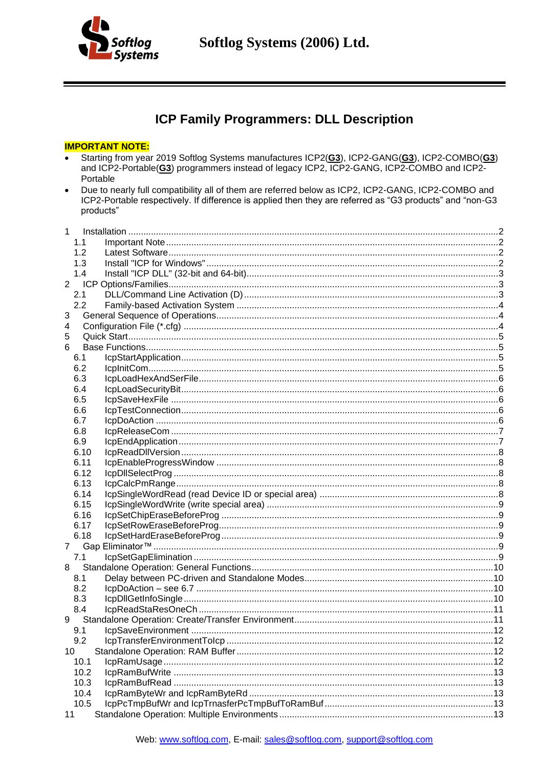

# ICP Family Programmers: DLL Description

#### **IMPORTANT NOTE:**

- Starting from year 2019 Softlog Systems manufactures ICP2(G3), ICP2-GANG(G3), ICP2-COMBO(G3)  $\bullet$ and ICP2-Portable(G3) programmers instead of legacy ICP2, ICP2-GANG, ICP2-COMBO and ICP2-Portable
- Due to nearly full compatibility all of them are referred below as ICP2, ICP2-GANG, ICP2-COMBO and  $\bullet$ ICP2-Portable respectively. If difference is applied then they are referred as "G3 products" and "non-G3 products"

|                | $1 \quad$ |  |
|----------------|-----------|--|
|                | 1.1       |  |
|                | 1.2       |  |
|                | 1.3       |  |
|                | 1.4       |  |
| $\overline{2}$ |           |  |
|                | 2.1       |  |
|                | 2.2       |  |
| 3              |           |  |
| 4              |           |  |
| 5              |           |  |
| 6              |           |  |
|                | 6.1       |  |
|                | 6.2       |  |
|                | 6.3       |  |
|                | 6.4       |  |
|                | 6.5       |  |
|                | 6.6       |  |
|                | 6.7       |  |
|                | 6.8       |  |
|                | 6.9       |  |
|                | 6.10      |  |
|                | 6.11      |  |
|                | 6.12      |  |
|                | 6.13      |  |
|                | 6.14      |  |
|                | 6.15      |  |
|                | 6.16      |  |
|                | 6.17      |  |
|                | 6.18      |  |
| $7\degree$     |           |  |
|                | 7.1       |  |
| 8              | 8.1       |  |
|                | 8.2       |  |
|                | 8.3       |  |
|                | 8.4       |  |
| 9              |           |  |
|                | 9.1       |  |
|                | 9.2       |  |
| 10             |           |  |
|                | 10.1      |  |
|                | 10.2      |  |
|                | 10.3      |  |
|                | 10.4      |  |
|                | 10.5      |  |
| 11             |           |  |
|                |           |  |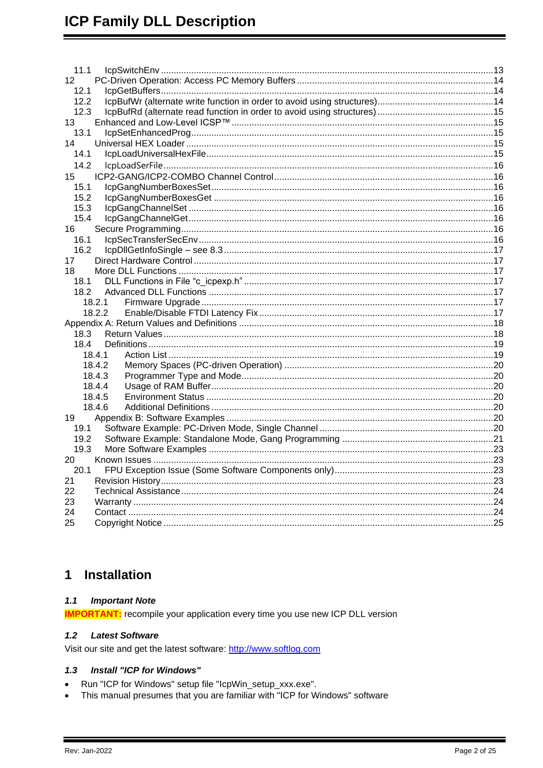| 11.1 |        |  |
|------|--------|--|
| 12   |        |  |
| 12.1 |        |  |
| 12.2 |        |  |
| 12.3 |        |  |
| 13   |        |  |
| 13.1 |        |  |
| 14   |        |  |
| 14.1 |        |  |
| 14.2 |        |  |
| 15   |        |  |
| 15.1 |        |  |
| 15.2 |        |  |
| 15.3 |        |  |
| 15.4 |        |  |
| 16   |        |  |
| 16.1 |        |  |
| 16.2 |        |  |
| 17   |        |  |
| 18   |        |  |
| 18.1 |        |  |
|      |        |  |
|      | 18.2.1 |  |
|      | 18.2.2 |  |
|      |        |  |
| 18.3 |        |  |
| 18.4 | 18.4.1 |  |
|      | 18.4.2 |  |
|      | 18.4.3 |  |
|      | 18.4.4 |  |
|      | 18.4.5 |  |
|      | 18.4.6 |  |
| 19   |        |  |
| 19.1 |        |  |
| 19.2 |        |  |
| 19.3 |        |  |
| 20   |        |  |
| 20.1 |        |  |
| 21   |        |  |
| 22   |        |  |
| 23   |        |  |
| 24   |        |  |
| 25   |        |  |
|      |        |  |

#### <span id="page-1-0"></span>**Installation**  $\mathbf 1$

#### <span id="page-1-1"></span> $1.1$ **Important Note**

<span id="page-1-2"></span>**IMPORTANT:** recompile your application every time you use new ICP DLL version

#### $1.2$ **Latest Software**

<span id="page-1-3"></span>Visit our site and get the latest software: http://www.softlog.com

#### $1.3$ Install "ICP for Windows"

- Run "ICP for Windows" setup file "IcpWin\_setup\_xxx.exe".  $\bullet$
- This manual presumes that you are familiar with "ICP for Windows" software  $\bullet$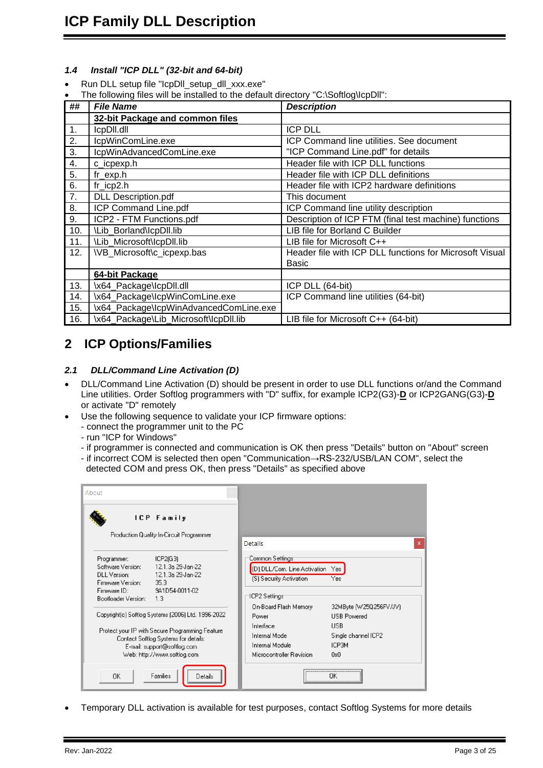### <span id="page-2-0"></span>*1.4 Install "ICP DLL" (32-bit and 64-bit)*

- Run DLL setup file "IcpDll\_setup\_dll\_xxx.exe"
- The following files will be installed to the default directory "C:\Softlog\IcpDll":

| ##  | <b>File Name</b>                       | <b>Description</b>                                      |
|-----|----------------------------------------|---------------------------------------------------------|
|     | 32-bit Package and common files        |                                                         |
| 1.  | IcpDII.dll                             | <b>ICP DLL</b>                                          |
| 2.  | IcpWinComLine.exe                      | ICP Command line utilities. See document                |
| 3.  | IcpWinAdvancedComLine.exe              | "ICP Command Line.pdf" for details                      |
| 4.  | c_icpexp.h                             | Header file with ICP DLL functions                      |
| 5.  | $fr\_exp.h$                            | Header file with ICP DLL definitions                    |
| 6.  | $fr\_icp2.h$                           | Header file with ICP2 hardware definitions              |
| 7.  | <b>DLL Description.pdf</b>             | This document                                           |
| 8.  | ICP Command Line.pdf                   | ICP Command line utility description                    |
| 9.  | ICP2 - FTM Functions.pdf               | Description of ICP FTM (final test machine) functions   |
| 10. | \Lib Borland\lcpDll.lib                | LIB file for Borland C Builder                          |
| 11. | \Lib_Microsoft\lcpDll.lib              | LIB file for Microsoft C++                              |
| 12. | \VB_Microsoft\c_icpexp.bas             | Header file with ICP DLL functions for Microsoft Visual |
|     |                                        | Basic                                                   |
|     | 64-bit Package                         |                                                         |
| 13. | \x64_Package\lcpDll.dll                | ICP DLL (64-bit)                                        |
| 14. | \x64_Package\lcpWinComLine.exe         | ICP Command line utilities (64-bit)                     |
| 15. | \x64_Package\IcpWinAdvancedComLine.exe |                                                         |
| 16. | \x64_Package\Lib_Microsoft\lcpDll.lib  | LIB file for Microsoft $C++$ (64-bit)                   |

# <span id="page-2-1"></span>**2 ICP Options/Families**

#### <span id="page-2-2"></span>*2.1 DLL/Command Line Activation (D)*

- DLL/Command Line Activation (D) should be present in order to use DLL functions or/and the Command Line utilities. Order Softlog programmers with "D" suffix, for example ICP2(G3)-**D** or ICP2GANG(G3)-**D** or activate "D" remotely
- Use the following sequence to validate your ICP firmware options:
	- connect the programmer unit to the PC
	- run "ICP for Windows"
	- if programmer is connected and communication is OK then press "Details" button on "About" screen
	- if incorrect COM is selected then open "Communication→RS-232/USB/LAN COM", select the detected COM and press OK, then press "Details" as specified above

| About                                                                                                        |                                                                                                                                                                                                             |                                                                                                             |                                                                                                   |
|--------------------------------------------------------------------------------------------------------------|-------------------------------------------------------------------------------------------------------------------------------------------------------------------------------------------------------------|-------------------------------------------------------------------------------------------------------------|---------------------------------------------------------------------------------------------------|
|                                                                                                              | <b>ICP</b> Family<br>Production Quality In-Circuit Programmer                                                                                                                                               | Details                                                                                                     |                                                                                                   |
| Programmer:<br>Software Version:<br>DLL Version:<br>Firmware Version:<br>Firmware ID:<br>Bootloader Version: | ICP2(G3)<br>12.1.3a 29-Jan-22<br>12.1.3a 29Jan-22<br>35.3<br>9A1D54-0011-02<br>1.3                                                                                                                          | Common Settings<br>(D) DLL/Com. Line Activation Yes<br>(S) Security Activation<br>-ICP2 Settings            | Yes                                                                                               |
|                                                                                                              | Copyright(c) Softlog Systems (2006) Ltd. 1996-2022<br>Protect your IP with Secure Programming Feature<br>Contact Softlog Systems for details:<br>E-mail: support@softlog.com<br>Web: http://www.softlog.com | On-Board Flash Memory<br>Power<br>Interface<br>Internal Mode<br>Internal Module<br>Microcontroller Revision | 32MByte (W25Q256FV/JV)<br><b>USB Powered</b><br><b>USB</b><br>Single channel ICP2<br>ICP3M<br>0x0 |
| 0K                                                                                                           | Families<br>Details                                                                                                                                                                                         |                                                                                                             | OK                                                                                                |

• Temporary DLL activation is available for test purposes, contact Softlog Systems for more details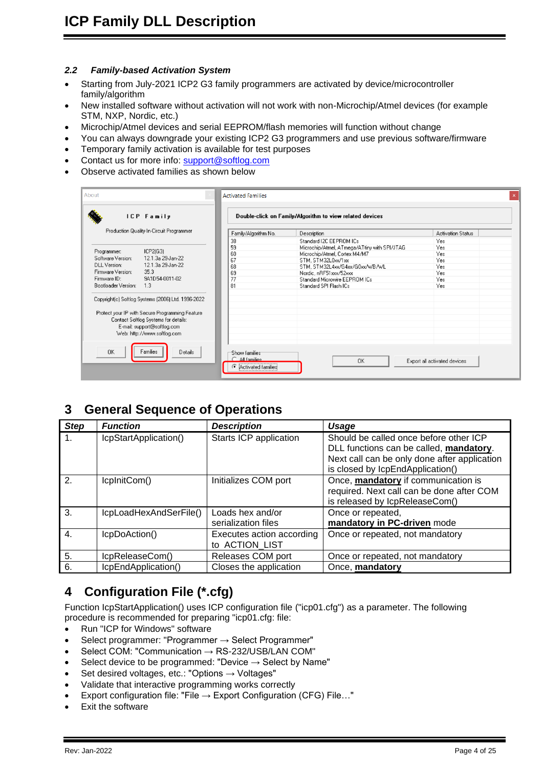#### <span id="page-3-0"></span>*2.2 Family-based Activation System*

- Starting from July-2021 ICP2 G3 family programmers are activated by device/microcontroller family/algorithm
- New installed software without activation will not work with non-Microchip/Atmel devices (for example STM, NXP, Nordic, etc.)
- Microchip/Atmel devices and serial EEPROM/flash memories will function without change
- You can always downgrade your existing ICP2 G3 programmers and use previous software/firmware
- Temporary family activation is available for test purposes
- Contact us for more info: [support@softlog.com](mailto:support@softlog.com)
- Observe activated families as shown below

| About                                                                                                                                                                                                       | <b>Activated Families</b>                                  |                                                          |                              |
|-------------------------------------------------------------------------------------------------------------------------------------------------------------------------------------------------------------|------------------------------------------------------------|----------------------------------------------------------|------------------------------|
| <b>ICP</b> Family                                                                                                                                                                                           |                                                            | Double-click on Family/Algorithm to view related devices |                              |
| Production Quality In-Circuit Programmer                                                                                                                                                                    | Family/Algorithm No.                                       | Description                                              | <b>Activation Status</b>     |
|                                                                                                                                                                                                             | 38                                                         | Standard I2C EEPROM ICs                                  | Yes                          |
|                                                                                                                                                                                                             | 59                                                         | Microchip/Atmel, ATmega/ATtiny with SPI/JTAG             | Yes                          |
| Programmer:<br>ICP2(G3)<br>Software Version:<br>12.1.3a 29-Jan-22                                                                                                                                           | 60                                                         | Microchip/Atmel, Cortex M4/M7                            | Yes                          |
| DLL Version:                                                                                                                                                                                                | 67                                                         | STM, STM32L0xx/1xx                                       | Yes                          |
| 12.1.3a 29 Jan-22                                                                                                                                                                                           | 68                                                         | STM, STM32L4xx/G4xx/G0xx/WB/WL                           | Yes                          |
| Firmware Version:<br>35.3                                                                                                                                                                                   | 69                                                         | Nordic. nRF51xxx/52xxx                                   | Yes                          |
| 9A1D54-0011-02<br>Firmware ID:                                                                                                                                                                              | 77                                                         | Standard Microwire EEPROM ICs                            | Yes                          |
| Bootloader Version:<br>1.3                                                                                                                                                                                  | 81                                                         | Standard SPI Flash ICs                                   | Yes                          |
| Copyright(c) Softlog Systems (2006) Ltd. 1996-2022<br>Protect your IP with Secure Programming Feature<br>Contact Softlog Systems for details:<br>E-mail: support@softlog.com<br>Web: http://www.softlog.com |                                                            |                                                          |                              |
| <b>OK</b><br>Families<br>Details                                                                                                                                                                            | Show families<br>C All families<br>G<br>Activated families | <b>OK</b>                                                | Export all activated devices |

### <span id="page-3-1"></span>**3 General Sequence of Operations**

| <b>Step</b> | <b>Function</b>        | <b>Description</b>                          | Usage                                                                                                                                                                 |
|-------------|------------------------|---------------------------------------------|-----------------------------------------------------------------------------------------------------------------------------------------------------------------------|
| $1_{\cdot}$ | IcpStartApplication()  | Starts ICP application                      | Should be called once before other ICP<br>DLL functions can be called, mandatory.<br>Next call can be only done after application<br>is closed by IcpEndApplication() |
| 2.          | IcpInitCom()           | Initializes COM port                        | Once, mandatory if communication is<br>required. Next call can be done after COM<br>is released by IcpReleaseCom()                                                    |
| 3.          | IcpLoadHexAndSerFile() | Loads hex and/or<br>serialization files     | Once or repeated,<br>mandatory in PC-driven mode                                                                                                                      |
| 4.          | IcpDoAction()          | Executes action according<br>to ACTION LIST | Once or repeated, not mandatory                                                                                                                                       |
| 5.          | IcpReleaseCom()        | Releases COM port                           | Once or repeated, not mandatory                                                                                                                                       |
| 6.          | IcpEndApplication()    | Closes the application                      | Once, mandatory                                                                                                                                                       |

# <span id="page-3-2"></span>**4 Configuration File (\*.cfg)**

Function IcpStartApplication() uses ICP configuration file ("icp01.cfg") as a parameter. The following procedure is recommended for preparing "icp01.cfg: file:

- Run "ICP for Windows" software
- Select programmer: "Programmer → Select Programmer"
- Select COM: "Communication → RS-232/USB/LAN COM"
- Select device to be programmed: "Device  $\rightarrow$  Select by Name"
- Set desired voltages, etc.: "Options → Voltages"
- Validate that interactive programming works correctly
- Export configuration file: "File  $\rightarrow$  Export Configuration (CFG) File..."
- Exit the software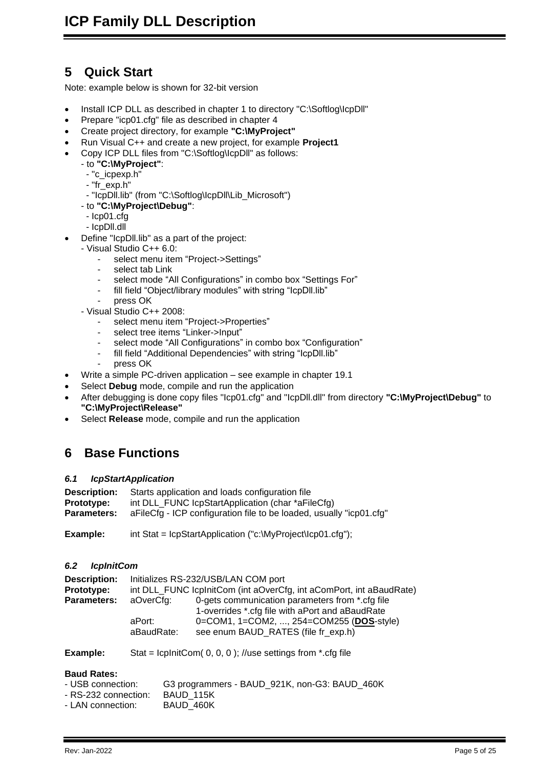# <span id="page-4-0"></span>**5 Quick Start**

Note: example below is shown for 32-bit version

- Install ICP DLL as described in chapter [1](#page-1-0) to directory "C:\Softlog\IcpDll"
- Prepare "icp01.cfg" file as described in chapter [4](#page-3-2)
- Create project directory, for example **"C:\MyProject"**
- Run Visual C++ and create a new project, for example **Project1**
- Copy ICP DLL files from "C:\Softlog\IcpDll" as follows:
	- to **"C:\MyProject"**:
		- "c\_icpexp.h"
		- "fr\_exp.h"
		- "IcpDll.lib" (from "C:\Softlog\IcpDll\Lib\_Microsoft")
	- to **"C:\MyProject\Debug"**:
	- Icp01.cfg
	- IcpDll.dll
- Define "IcpDII.lib" as a part of the project:
	- Visual Studio C++ 6.0:
		- select menu item "Project->Settings"
		- select tab Link
		- select mode "All Configurations" in combo box "Settings For"
		- fill field "Object/library modules" with string "IcpDll.lib"
		- press OK
	- Visual Studio C++ 2008:
		- select menu item "Project->Properties"
		- select tree items "Linker->Input"
		- select mode "All Configurations" in combo box "Configuration"
		- fill field "Additional Dependencies" with string "IcpDII.lib"
		- press OK
- Write a simple PC-driven application see example in chapter [19.1](#page-19-6)
- Select **Debug** mode, compile and run the application
- After debugging is done copy files "Icp01.cfg" and "IcpDll.dll" from directory **"C:\MyProject\Debug"** to **"C:\MyProject\Release"**
- Select **Release** mode, compile and run the application

### <span id="page-4-1"></span>**6 Base Functions**

#### <span id="page-4-2"></span>*6.1 IcpStartApplication*

| <b>Description:</b> | Starts application and loads configuration file                     |
|---------------------|---------------------------------------------------------------------|
| <b>Prototype:</b>   | int DLL_FUNC lcpStartApplication (char *aFileCfg)                   |
| <b>Parameters:</b>  | aFileCfg - ICP configuration file to be loaded, usually "icp01.cfg" |

**Example:** int Stat = IcpStartApplication ("c:\MyProject\Icp01.cfg");

#### <span id="page-4-3"></span>*6.2 IcpInitCom*

| <b>Description:</b> | Initializes RS-232/USB/LAN COM port                                 |                                                                                                                                                                                       |  |
|---------------------|---------------------------------------------------------------------|---------------------------------------------------------------------------------------------------------------------------------------------------------------------------------------|--|
| Prototype:          | int DLL_FUNC lcplnitCom (int aOverCfg, int aComPort, int aBaudRate) |                                                                                                                                                                                       |  |
| <b>Parameters:</b>  | aOverCfg:<br>aPort:<br>aBaudRate:                                   | 0-gets communication parameters from *.cfg file<br>1-overrides *.cfg file with aPort and aBaudRate<br>0=COM1, 1=COM2, , 254=COM255 (DOS-style)<br>see enum BAUD RATES (file fr exp.h) |  |
|                     |                                                                     |                                                                                                                                                                                       |  |

**Example:** Stat = lcplnitCom( 0, 0, 0 ); //use settings from \*.cfg file

#### **Baud Rates:**

| - USB connection:    | G3 programmers - BAUD 921K, non-G3: BAUD 460K |
|----------------------|-----------------------------------------------|
| - RS-232 connection: | BAUD 115K                                     |
| - LAN connection:    | BAUD 460K                                     |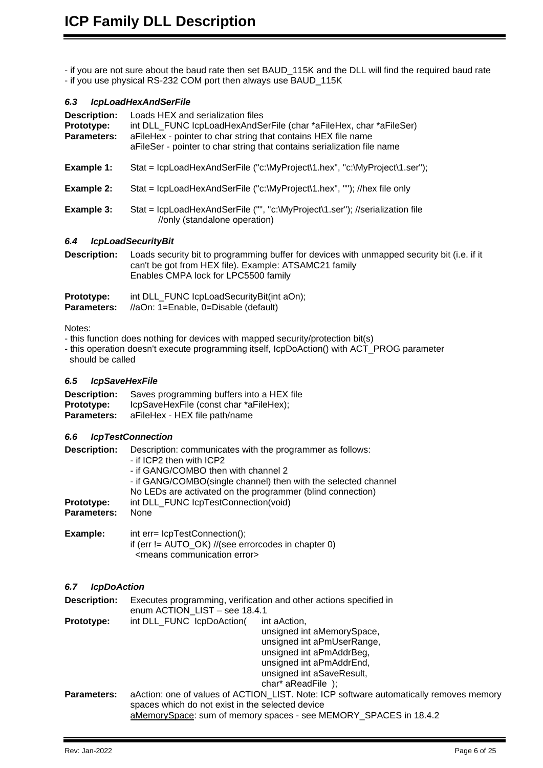- if you are not sure about the baud rate then set BAUD\_115K and the DLL will find the required baud rate - if you use physical RS-232 COM port then always use BAUD\_115K

#### <span id="page-5-0"></span>*6.3 IcpLoadHexAndSerFile*

| Description:<br>Prototype:<br><b>Parameters:</b> | Loads HEX and serialization files<br>int DLL FUNC IcpLoadHexAndSerFile (char *aFileHex, char *aFileSer)<br>aFileHex - pointer to char string that contains HEX file name<br>aFileSer - pointer to char string that contains serialization file name |
|--------------------------------------------------|-----------------------------------------------------------------------------------------------------------------------------------------------------------------------------------------------------------------------------------------------------|
| Example 1:                                       | Stat = lcpLoadHexAndSerFile ("c:\MyProject\1.hex", "c:\MyProject\1.ser");                                                                                                                                                                           |
| Example 2:                                       | Stat = lcpLoadHexAndSerFile ("c:\MyProject\1.hex", ""); //hex file only                                                                                                                                                                             |
| Example 3:                                       | Stat = lcpLoadHexAndSerFile ("", "c:\MyProject\1.ser"); //serialization file<br>//only (standalone operation)                                                                                                                                       |
| 6.4                                              | <i><b>IcpLoadSecurityBit</b></i>                                                                                                                                                                                                                    |
| <b>Description:</b>                              | Loads security bit to programming buffer for devices with unmapped security bit (i.e. if it<br>can't be got from HEX file). Example: ATSAMC21 family                                                                                                |

<span id="page-5-1"></span>

| <b>Prototype:</b>  | int DLL_FUNC lcpLoadSecurityBit(int aOn); |
|--------------------|-------------------------------------------|
| <b>Parameters:</b> | //aOn: 1=Enable, 0=Disable (default)      |

#### Notes:

- this function does nothing for devices with mapped security/protection bit(s)

Enables CMPA lock for LPC5500 family

- this operation doesn't execute programming itself, IcpDoAction() with ACT\_PROG parameter should be called

#### <span id="page-5-2"></span>*6.5 IcpSaveHexFile*

| <b>Description:</b> | Saves programming buffers into a HEX file |
|---------------------|-------------------------------------------|
| <b>Prototype:</b>   | IcpSaveHexFile (const char *aFileHex);    |
| <b>Parameters:</b>  | aFileHex - HEX file path/name             |

<means communication error>

#### <span id="page-5-3"></span>*6.6 IcpTestConnection*

| <b>Description:</b> | Description: communicates with the programmer as follows:      |
|---------------------|----------------------------------------------------------------|
|                     | - if ICP2 then with ICP2                                       |
|                     | - if GANG/COMBO then with channel 2                            |
|                     | - if GANG/COMBO(single channel) then with the selected channel |
|                     | No LEDs are activated on the programmer (blind connection)     |
| Prototype:          | int DLL FUNC IcpTestConnection(void)                           |
| <b>Parameters:</b>  | None                                                           |
| Example:            | int err= lcpTestConnection();                                  |
|                     | if (err != $AUTO_OK$ ) //(see errorcodes in chapter 0)         |

#### <span id="page-5-4"></span>*6.7 IcpDoAction*

| <b>Description:</b> | Executes programming, verification and other actions specified in<br>enum ACTION LIST - see 18.4.1                                                                                                               |  |
|---------------------|------------------------------------------------------------------------------------------------------------------------------------------------------------------------------------------------------------------|--|
| Prototype:          | int DLL FUNC IcpDoAction(<br>int aAction,<br>unsigned int aMemorySpace,<br>unsigned int aPmUserRange,<br>unsigned int aPmAddrBeg,<br>unsigned int aPmAddrEnd,<br>unsigned int aSaveResult,<br>char* aReadFile ); |  |
| <b>Parameters:</b>  | aAction: one of values of ACTION LIST. Note: ICP software automatically removes memory<br>spaces which do not exist in the selected device<br>aMemorySpace: sum of memory spaces - see MEMORY_SPACES in 18.4.2   |  |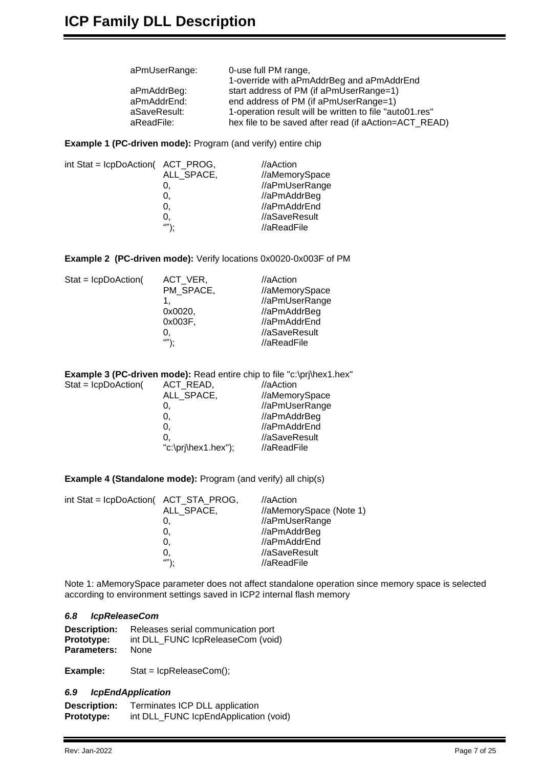| aPmUserRange: | 0-use full PM range,                                    |
|---------------|---------------------------------------------------------|
|               | 1-override with aPmAddrBeg and aPmAddrEnd               |
| aPmAddrBeg:   | start address of PM (if aPmUserRange=1)                 |
| aPmAddrEnd:   | end address of PM (if aPmUserRange=1)                   |
| aSaveResult:  | 1-operation result will be written to file "auto01.res" |
| aReadFile:    | hex file to be saved after read (if aAction=ACT_READ)   |
|               |                                                         |

**Example 1 (PC-driven mode):** Program (and verify) entire chip

| int Stat = IcpDoAction( ACT_PROG, |                | $//$ aAction   |
|-----------------------------------|----------------|----------------|
|                                   | ALL_SPACE,     | //aMemorySpace |
|                                   | υ.             | //aPmUserRange |
|                                   | 0.             | //aPmAddrBeg   |
|                                   | 0.             | //aPmAddrEnd   |
|                                   | 0,             | //aSaveResult  |
|                                   | $\mathbf{w}$ . | //aReadFile    |
|                                   |                |                |

**Example 2 (PC-driven mode):** Verify locations 0x0020-0x003F of PM

| $Stat = lcpDoAction($ | ACT VER,  | //aAction      |
|-----------------------|-----------|----------------|
|                       | PM SPACE, | //aMemorySpace |
|                       |           | //aPmUserRange |
|                       | 0x0020,   | //aPmAddrBeg   |
|                       | 0x003F,   | //aPmAddrEnd   |
|                       | O,        | //aSaveResult  |
|                       | "").      | //aReadFile    |

|                        | <b>Example 3 (PC-driven mode):</b> Read entire chip to file "c:\prj\hex1.hex" |                |
|------------------------|-------------------------------------------------------------------------------|----------------|
| $State = IcpDoAction($ | ACT_READ,                                                                     | //aAction      |
|                        | ALL SPACE,                                                                    | //aMemorySpace |
|                        | 0,                                                                            | //aPmUserRange |
|                        | 0.                                                                            | //aPmAddrBeg   |
|                        | 0.                                                                            | //aPmAddrEnd   |
|                        | 0.                                                                            | //aSaveResult  |
|                        | " $c:\pi\text{-}\text{-}\text{-}\text{-}$ "c:\pri\hex1.hex");                 | //aReadFile    |

**Example 4 (Standalone mode):** Program (and verify) all chip(s)

| int Stat = IcpDoAction( ACT_STA_PROG, |            | $//$ aAction            |
|---------------------------------------|------------|-------------------------|
|                                       | ALL SPACE, | //aMemorySpace (Note 1) |
|                                       | O.         | //aPmUserRange          |
|                                       | 0.         | //aPmAddrBeg            |
|                                       | 0.         | //aPmAddrEnd            |
|                                       | 0.         | //aSaveResult           |
|                                       | $\omega$ . | //aReadFile             |

Note 1: aMemorySpace parameter does not affect standalone operation since memory space is selected according to environment settings saved in ICP2 internal flash memory

#### <span id="page-6-0"></span>*6.8 IcpReleaseCom*

| <b>Description:</b> | Releases serial communication port |
|---------------------|------------------------------------|
| <b>Prototype:</b>   | int DLL FUNC IcpReleaseCom (void)  |
| <b>Parameters:</b>  | <b>None</b>                        |

<span id="page-6-1"></span>**Example:** Stat = IcpReleaseCom();

#### *6.9 IcpEndApplication*

| <b>Description:</b> | Terminates ICP DLL application        |
|---------------------|---------------------------------------|
| <b>Prototype:</b>   | int DLL_FUNC IcpEndApplication (void) |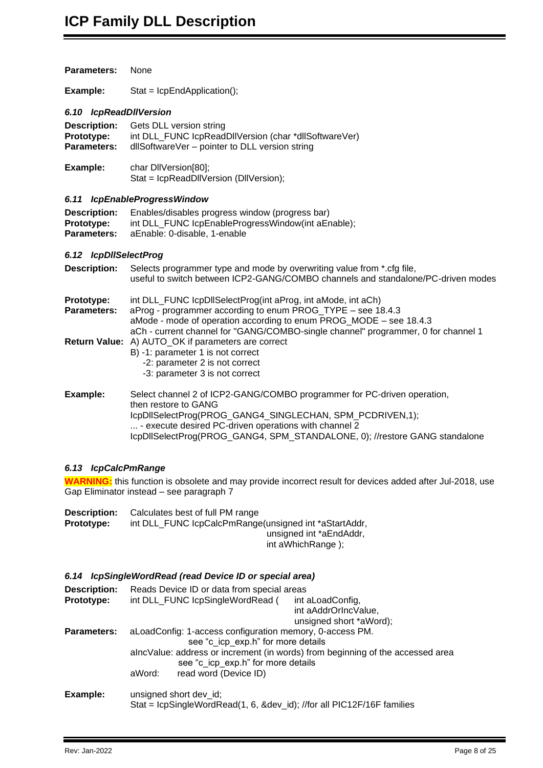<span id="page-7-2"></span><span id="page-7-1"></span><span id="page-7-0"></span>

| <b>Parameters:</b>                                      | None                                                                                                                                                                                                                                                                                               |
|---------------------------------------------------------|----------------------------------------------------------------------------------------------------------------------------------------------------------------------------------------------------------------------------------------------------------------------------------------------------|
| Example:                                                | $Stat = lcpEndApplication();$                                                                                                                                                                                                                                                                      |
| 6.10 IcpReadDIIVersion                                  |                                                                                                                                                                                                                                                                                                    |
| <b>Description:</b><br>Prototype:<br><b>Parameters:</b> | Gets DLL version string<br>int DLL_FUNC lcpReadDIIVersion (char *dllSoftwareVer)<br>dllSoftwareVer - pointer to DLL version string                                                                                                                                                                 |
| Example:                                                | char DIIVersion[80];<br>Stat = IcpReadDIIVersion (DIIVersion);                                                                                                                                                                                                                                     |
|                                                         | 6.11 IcpEnableProgressWindow                                                                                                                                                                                                                                                                       |
| <b>Description:</b><br>Prototype:<br>Parameters:        | Enables/disables progress window (progress bar)<br>int DLL_FUNC lcpEnableProgressWindow(int aEnable);<br>aEnable: 0-disable, 1-enable                                                                                                                                                              |
| 6.12 IcpDIISelectProg                                   |                                                                                                                                                                                                                                                                                                    |
| <b>Description:</b>                                     | Selects programmer type and mode by overwriting value from *.cfg file,<br>useful to switch between ICP2-GANG/COMBO channels and standalone/PC-driven modes                                                                                                                                         |
| Prototype:<br><b>Parameters:</b>                        | int DLL_FUNC IcpDIISelectProg(int aProg, int aMode, int aCh)<br>aProg - programmer according to enum PROG_TYPE - see 18.4.3<br>aMode - mode of operation according to enum PROG_MODE - see 18.4.3<br>aCh - current channel for "GANG/COMBO-single channel" programmer, 0 for channel 1             |
|                                                         | Return Value: A) AUTO_OK if parameters are correct<br>B) -1: parameter 1 is not correct<br>-2: parameter 2 is not correct<br>-3: parameter 3 is not correct                                                                                                                                        |
| Example:                                                | Select channel 2 of ICP2-GANG/COMBO programmer for PC-driven operation,<br>then restore to GANG<br>IcpDIISelectProg(PROG_GANG4_SINGLECHAN, SPM_PCDRIVEN,1);<br>- execute desired PC-driven operations with channel 2<br>IcpDIISelectProg(PROG_GANG4, SPM_STANDALONE, 0); //restore GANG standalone |
| 6.13 IcpCalcPmRange                                     |                                                                                                                                                                                                                                                                                                    |
|                                                         | <b>WARNING:</b> this function is obsolete and may provide incorrect result for devices added after Jul-2018, use<br>Gap Eliminator instead - see paragraph 7                                                                                                                                       |
| <b>Description:</b><br>Prototype:                       | Calculates best of full PM range<br>int DLL_FUNC lcpCalcPmRange(unsigned int *aStartAddr,<br>unsigned int *aEndAddr,<br>int aWhichRange);                                                                                                                                                          |
|                                                         | 6.14 IcpSingleWordRead (read Device ID or special area)                                                                                                                                                                                                                                            |
| <b>Description:</b>                                     | Reads Device ID or data from special areas                                                                                                                                                                                                                                                         |
| Prototype:                                              | int DLL_FUNC lcpSingleWordRead (<br>int aLoadConfig,<br>int aAddrOrIncValue,<br>unsigned short *aWord);                                                                                                                                                                                            |
| <b>Parameters:</b>                                      | aLoadConfig: 1-access configuration memory, 0-access PM.<br>see "c_icp_exp.h" for more details                                                                                                                                                                                                     |

<span id="page-7-4"></span><span id="page-7-3"></span>**Example:** unsigned short dev\_id; Stat = IcpSingleWordRead(1, 6, &dev\_id); //for all PIC12F/16F families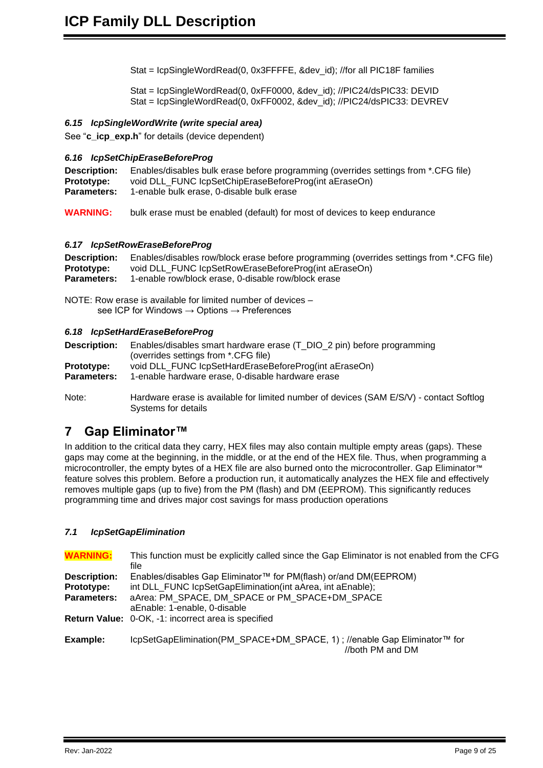Stat = IcpSingleWordRead(0, 0x3FFFFE, &dev\_id); //for all PIC18F families

Stat = IcpSingleWordRead(0, 0xFF0000, &dev\_id); //PIC24/dsPIC33: DEVID Stat = IcpSingleWordRead(0, 0xFF0002, &dev\_id); //PIC24/dsPIC33: DEVREV

#### <span id="page-8-0"></span>*6.15 IcpSingleWordWrite (write special area)*

<span id="page-8-1"></span>See "**c** icp exp.h" for details (device dependent)

#### *6.16 IcpSetChipEraseBeforeProg*

**Description:** Enables/disables bulk erase before programming (overrides settings from \*.CFG file) **Prototype:** void DLL\_FUNC IcpSetChipEraseBeforeProg(int aEraseOn) **Parameters:** 1-enable bulk erase, 0-disable bulk erase

**WARNING:** bulk erase must be enabled (default) for most of devices to keep endurance

#### <span id="page-8-2"></span>*6.17 IcpSetRowEraseBeforeProg*

| <b>Description:</b> | Enables/disables row/block erase before programming (overrides settings from *.CFG file) |
|---------------------|------------------------------------------------------------------------------------------|
| <b>Prototype:</b>   | void DLL FUNC IcpSetRowEraseBeforeProg(int aEraseOn)                                     |
| Parameters:         | 1-enable row/block erase, 0-disable row/block erase                                      |

NOTE: Row erase is available for limited number of devices – see ICP for Windows → Options → Preferences

#### <span id="page-8-3"></span>*6.18 IcpSetHardEraseBeforeProg*

**Description:** Enables/disables smart hardware erase (T\_DIO\_2 pin) before programming (overrides settings from \*.CFG file) **Prototype:** void DLL\_FUNC IcpSetHardEraseBeforeProg(int aEraseOn)<br>**Parameters:** 1-enable hardware erase. 0-disable hardware erase **Parameters:** 1-enable hardware erase, 0-disable hardware erase

Note: Hardware erase is available for limited number of devices (SAM E/S/V) - contact Softlog Systems for details

### <span id="page-8-4"></span>**7 Gap Eliminator™**

In addition to the critical data they carry, HEX files may also contain multiple empty areas (gaps). These gaps may come at the beginning, in the middle, or at the end of the HEX file. Thus, when programming a microcontroller, the empty bytes of a HEX file are also burned onto the microcontroller. Gap Eliminator™ feature solves this problem. Before a production run, it automatically analyzes the HEX file and effectively removes multiple gaps (up to five) from the PM (flash) and DM (EEPROM). This significantly reduces programming time and drives major cost savings for mass production operations

#### <span id="page-8-5"></span>*7.1 IcpSetGapElimination*

| <b>WARNING:</b>     | This function must be explicitly called since the Gap Eliminator is not enabled from the CFG<br>file |
|---------------------|------------------------------------------------------------------------------------------------------|
| <b>Description:</b> | Enables/disables Gap Eliminator™ for PM(flash) or/and DM(EEPROM)                                     |
| Prototype:          | int DLL FUNC IcpSetGapElimination(int aArea, int aEnable);                                           |
| <b>Parameters:</b>  | aArea: PM SPACE, DM SPACE or PM SPACE+DM SPACE<br>aEnable: 1-enable, 0-disable                       |
|                     | Return Value: 0-OK, -1: incorrect area is specified                                                  |
| Example:            | IcpSetGapElimination(PM SPACE+DM SPACE, 1); //enable Gap Eliminator™ for<br>//both PM and DM         |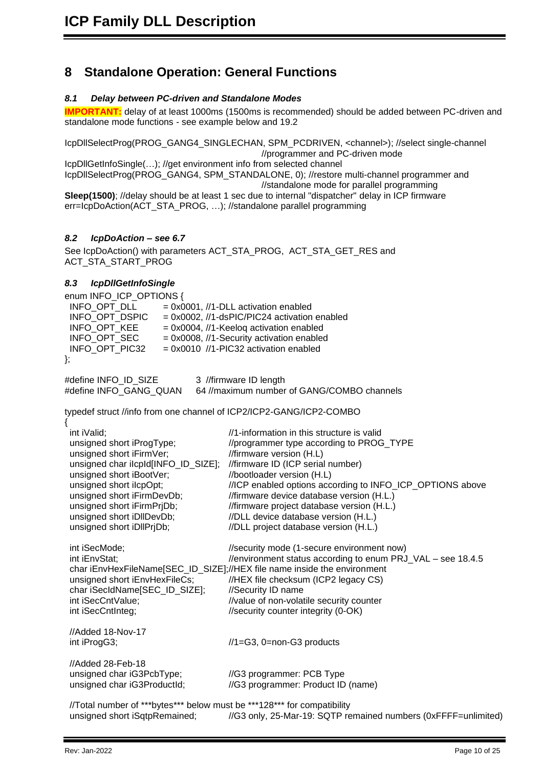## <span id="page-9-0"></span>**8 Standalone Operation: General Functions**

### <span id="page-9-1"></span>*8.1 Delay between PC-driven and Standalone Modes*

**IMPORTANT:** delay of at least 1000ms (1500ms is recommended) should be added between PC-driven and standalone mode functions - see example below and [19.2](#page-20-0) 

IcpDllSelectProg(PROG\_GANG4\_SINGLECHAN, SPM\_PCDRIVEN, <channel>); //select single-channel //programmer and PC-driven mode IcpDllGetInfoSingle(…); //get environment info from selected channel

IcpDllSelectProg(PROG\_GANG4, SPM\_STANDALONE, 0); //restore multi-channel programmer and //standalone mode for parallel programming **Sleep(1500)**; //delay should be at least 1 sec due to internal "dispatcher" delay in ICP firmware

err=IcpDoAction(ACT\_STA\_PROG, …); //standalone parallel programming

### <span id="page-9-2"></span>*8.2 IcpDoAction – see [6.7](#page-5-4)*

See IcpDoAction() with parameters ACT\_STA\_PROG, ACT\_STA\_GET\_RES and ACT\_STA\_START\_PROG

#### <span id="page-9-3"></span>*8.3 IcpDllGetInfoSingle*

enum INFO\_ICP\_OPTIONS {<br>INFO\_OPT\_DLL = 0x(  $INFO_OPT_DLL$  = 0x0001, //1-DLL activation enabled<br> $INFO_OPT_DSPIC$  = 0x0002, //1-dsPIC/PIC24 activation INFO\_OPT\_DSPIC = 0x0002, //1-dsPIC/PIC24 activation enabled<br>INFO\_OPT\_KEE = 0x0004, //1-Keeloq activation enabled INFO\_OPT\_KEE = 0x0004, //1-Keeloq activation enabled<br>INFO\_OPT\_SEC = 0x0008, //1-Security activation enabled  $= 0x0008$ , //1-Security activation enabled INFO\_OPT\_PIC32 = 0x0010 //1-PIC32 activation enabled }; #define INFO\_ID\_SIZE 3 //firmware ID length #define INFO\_GANG\_QUAN 64 //maximum number of GANG/COMBO channels typedef struct //info from one channel of ICP2/ICP2-GANG/ICP2-COMBO { int iValid;  $\frac{1}{1}$  information in this structure is valid unsigned short iProgType; //programmer type according to PROG\_TYPE unsigned short iFirmVer; //firmware version (H.L) unsigned char iIcpId[INFO\_ID\_SIZE]; //firmware ID (ICP serial number) unsigned short iBootVer; //bootloader version (H.L) unsigned short iIcpOpt; //ICP enabled options according to INFO\_ICP\_OPTIONS above unsigned short iFirmDevDb; //firmware device database version (H.L.) unsigned short iFirmPrjDb; //firmware project database version (H.L.) unsigned short iDIIDevDb; //DLL device database version (H.L.) unsigned short iDllPrjDb; //DLL project database version (H.L.) int iSecMode;  $\frac{1}{1}$  //security mode (1-secure environment now) int iEnvStat; //environment status according to enum PRJ\_VAL – see [18.4.5](#page-19-3) char iEnvHexFileName[SEC\_ID\_SIZE];//HEX file name inside the environment<br>unsigned short iEnvHexFileCs; //HEX file checksum (ICP2 legacy CS) //HEX file checksum (ICP2 legacy CS) char iSecIdName[SEC\_ID\_SIZE]; //Security ID name int iSecCntValue;  $\frac{1}{2}$  //value of non-volatile security counter int iSecCntInteg;  $\frac{1}{100}$  //security counter integrity (0-OK) //Added 18-Nov-17 int iProgG3;  $\frac{1}{1}$  //1=G3, 0=non-G3 products //Added 28-Feb-18 unsigned char iG3PcbType; //G3 programmer: PCB Type unsigned char iG3ProductId; //G3 programmer: Product ID (name) //Total number of \*\*\*bytes\*\*\* below must be \*\*\*128\*\*\* for compatibility<br>unsigned short iSqtpRemained: //G3 only, 25-Mar-19: SQTP re //G3 only, 25-Mar-19: SQTP remained numbers (0xFFFF=unlimited)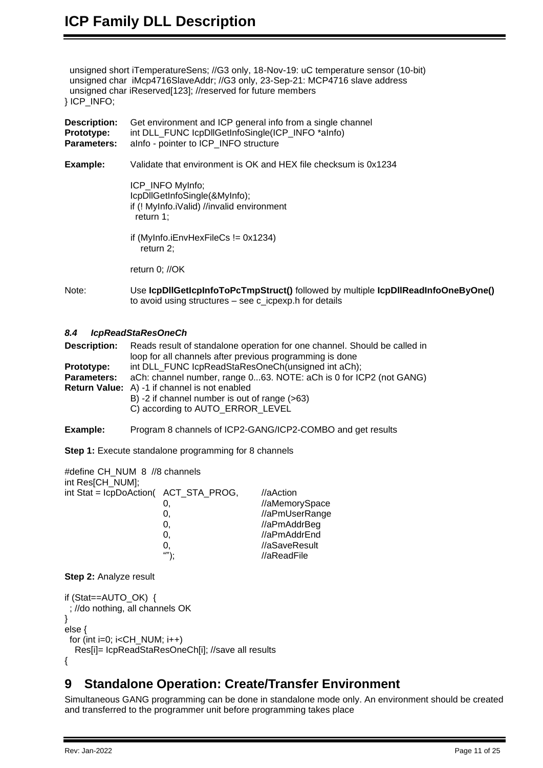unsigned short iTemperatureSens; //G3 only, 18-Nov-19: uC temperature sensor (10-bit) unsigned char iMcp4716SlaveAddr; //G3 only, 23-Sep-21: MCP4716 slave address unsigned char iReserved[123]; //reserved for future members } ICP\_INFO;

| <b>Description:</b><br>Prototype:<br>Parameters: | Get environment and ICP general info from a single channel<br>int DLL FUNC IcpDIIGetInfoSingle(ICP INFO *aInfo)<br>alnfo - pointer to ICP_INFO structure |
|--------------------------------------------------|----------------------------------------------------------------------------------------------------------------------------------------------------------|
| Example:                                         | Validate that environment is OK and HEX file checksum is 0x1234                                                                                          |
|                                                  | ICP_INFO MyInfo;<br>IcpDllGetInfoSingle(&MyInfo);<br>if (! MyInfo.iValid) //invalid environment<br>return 1;                                             |
|                                                  | if (MyInfo.iEnvHexFileCs $!=$ 0x1234)<br>return $2$ ;                                                                                                    |
|                                                  | return $0$ ; //OK                                                                                                                                        |
| Note:                                            | Use IcpDIIGetIcpInfoToPcTmpStruct() followed by multiple IcpDIIReadInfoOneByOne()<br>to avoid using structures $-$ see c_icpexp. h for details           |

#### <span id="page-10-0"></span>*8.4 IcpReadStaResOneCh*

**Description:** Reads result of standalone operation for one channel. Should be called in loop for all channels after previous programming is done **Prototype:** int DLL\_FUNC IcpReadStaResOneCh(unsigned int aCh); **Parameters:** aCh: channel number, range 0...63. NOTE: aCh is 0 for ICP2 (not GANG) **Return Value:** A) -1 if channel is not enabled B) -2 if channel number is out of range (>63) C) according to AUTO\_ERROR\_LEVEL

**Example:** Program 8 channels of ICP2-GANG/ICP2-COMBO and get results

**Step 1:** Execute standalone programming for 8 channels

| #define CH_NUM_8 //8 channels<br>int Res[CH_NUM]; |      |                |
|---------------------------------------------------|------|----------------|
| int Stat = lcpDoAction( ACT_STA_PROG,             |      | $//$ aAction   |
|                                                   | 0.   | //aMemorySpace |
|                                                   | 0.   | //aPmUserRange |
|                                                   | 0.   | //aPmAddrBeg   |
|                                                   | 0.   | //aPmAddrEnd   |
|                                                   | 0.   | //aSaveResult  |
|                                                   | ""); | //aReadFile    |
|                                                   |      |                |

### **Step 2:** Analyze result

```
if (Stat==AUTO_OK) { 
  ; //do nothing, all channels OK
} 
else {
 for (int i=0; i<CH NUM; i++)
   Res[i]= IcpReadStaResOneCh[i]; //save all results
{
```
### <span id="page-10-1"></span>**9 Standalone Operation: Create/Transfer Environment**

Simultaneous GANG programming can be done in standalone mode only. An environment should be created and transferred to the programmer unit before programming takes place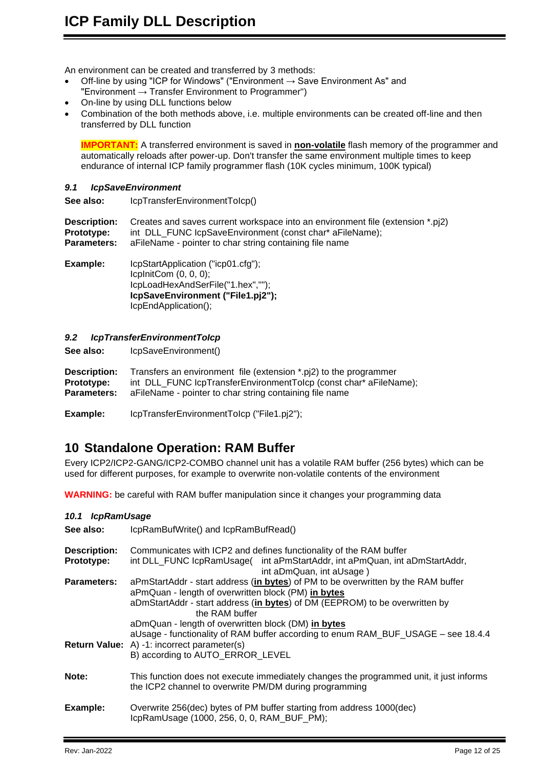An environment can be created and transferred by 3 methods:

- Off-line by using "ICP for Windows" ("Environment  $\rightarrow$  Save Environment As" and "Environment  $\rightarrow$  Transfer Environment to Programmer")
- On-line by using DLL functions below
- Combination of the both methods above, i.e. multiple environments can be created off-line and then transferred by DLL function

**IMPORTANT:** A transferred environment is saved in **non-volatile** flash memory of the programmer and automatically reloads after power-up. Don't transfer the same environment multiple times to keep endurance of internal ICP family programmer flash (10K cycles minimum, 100K typical)

#### <span id="page-11-0"></span>*9.1 IcpSaveEnvironment*

**See also:** IcpTransferEnvironmentToIcp()

**Description:** Creates and saves current workspace into an environment file (extension \*.pj2) **Prototype:** int DLL\_FUNC IcpSaveEnvironment (const char\* aFileName); **Parameters:** aFileName - pointer to char string containing file name

**Example:** IcpStartApplication ("icp01.cfg"); IcpInitCom (0, 0, 0); IcpLoadHexAndSerFile("1.hex",""); **IcpSaveEnvironment ("File1.pj2");** IcpEndApplication();

#### <span id="page-11-1"></span>*9.2 IcpTransferEnvironmentToIcp*

See also: **IcpSaveEnvironment()** 

**Description:** Transfers an environment file (extension \*.pj2) to the programmer **Prototype:** int DLL\_FUNC lcpTransferEnvironmentToIcp (const char\* aFileName);<br>**Parameters:** aFileName - pointer to char string containing file name aFileName - pointer to char string containing file name

**Example:** IcpTransferEnvironmentToIcp ("File1.pj2");

### <span id="page-11-2"></span>**10 Standalone Operation: RAM Buffer**

Every ICP2/ICP2-GANG/ICP2-COMBO channel unit has a volatile RAM buffer (256 bytes) which can be used for different purposes, for example to overwrite non-volatile contents of the environment

<span id="page-11-3"></span>**WARNING:** be careful with RAM buffer manipulation since it changes your programming data

| 10.1 IcpRamUsage                  |                                                                                                                                                                                                                                           |  |
|-----------------------------------|-------------------------------------------------------------------------------------------------------------------------------------------------------------------------------------------------------------------------------------------|--|
| See also:                         | IcpRamBufWrite() and IcpRamBufRead()                                                                                                                                                                                                      |  |
| <b>Description:</b><br>Prototype: | Communicates with ICP2 and defines functionality of the RAM buffer<br>int DLL_FUNC lcpRamUsage( int aPmStartAddr, int aPmQuan, int aDmStartAddr,<br>int aDmQuan, int aUsage)                                                              |  |
| <b>Parameters:</b>                | aPmStartAddr - start address (in bytes) of PM to be overwritten by the RAM buffer<br>aPmQuan - length of overwritten block (PM) in bytes<br>aDmStartAddr - start address (in bytes) of DM (EEPROM) to be overwritten by<br>the RAM buffer |  |
|                                   | aDmQuan - length of overwritten block (DM) in bytes<br>aUsage - functionality of RAM buffer according to enum RAM_BUF_USAGE - see 18.4.4<br><b>Return Value:</b> A) -1: incorrect parameter(s)<br>B) according to AUTO_ERROR_LEVEL        |  |
| Note:                             | This function does not execute immediately changes the programmed unit, it just informs<br>the ICP2 channel to overwrite PM/DM during programming                                                                                         |  |
| Example:                          | Overwrite 256(dec) bytes of PM buffer starting from address 1000(dec)<br>IcpRamUsage (1000, 256, 0, 0, RAM_BUF_PM);                                                                                                                       |  |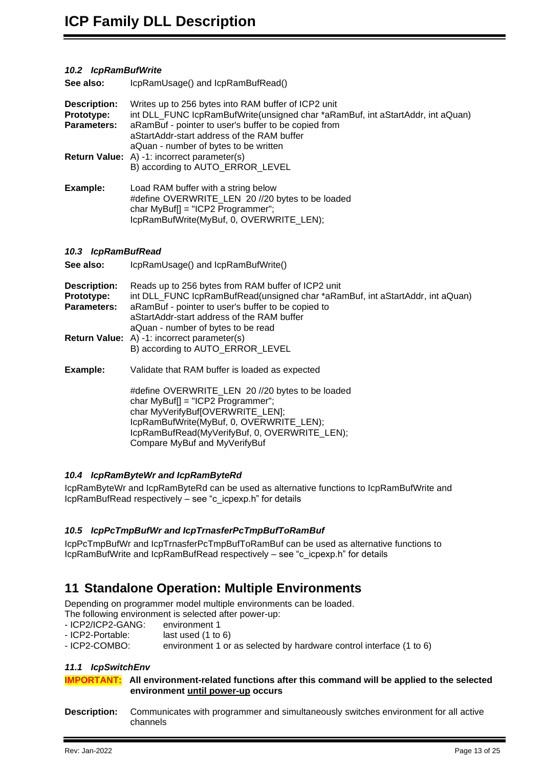#### <span id="page-12-0"></span>*10.2 IcpRamBufWrite*

**See also:** IcpRamUsage() and IcpRamBufRead()

| <b>Description:</b><br>Prototype:<br><b>Parameters:</b> | Writes up to 256 bytes into RAM buffer of ICP2 unit<br>int DLL_FUNC lcpRamBufWrite(unsigned char *aRamBuf, int aStartAddr, int aQuan)<br>aRamBuf - pointer to user's buffer to be copied from<br>aStartAddr-start address of the RAM buffer<br>aQuan - number of bytes to be written |
|---------------------------------------------------------|--------------------------------------------------------------------------------------------------------------------------------------------------------------------------------------------------------------------------------------------------------------------------------------|
|                                                         | <b>Return Value:</b> A) -1: incorrect parameter(s)<br>B) according to AUTO ERROR LEVEL                                                                                                                                                                                               |
| Example:                                                | Load RAM buffer with a string below<br>#define OVERWRITE_LEN 20 //20 bytes to be loaded<br>char $MyBuff$ ] = "ICP2 Programmer";                                                                                                                                                      |

IcpRamBufWrite(MyBuf, 0, OVERWRITE\_LEN);

#### <span id="page-12-1"></span>*10.3 IcpRamBufRead*

| See also:                                               | IcpRamUsage() and IcpRamBufWrite()                                                                                                                                                                                                                                            |
|---------------------------------------------------------|-------------------------------------------------------------------------------------------------------------------------------------------------------------------------------------------------------------------------------------------------------------------------------|
| <b>Description:</b><br>Prototype:<br><b>Parameters:</b> | Reads up to 256 bytes from RAM buffer of ICP2 unit<br>int DLL_FUNC lcpRamBufRead(unsigned char *aRamBuf, int aStartAddr, int aQuan)<br>aRamBuf - pointer to user's buffer to be copied to<br>aStartAddr-start address of the RAM buffer<br>aQuan - number of bytes to be read |
|                                                         | <b>Return Value:</b> A) -1: incorrect parameter(s)<br>B) according to AUTO ERROR LEVEL                                                                                                                                                                                        |
| Example:                                                | Validate that RAM buffer is loaded as expected                                                                                                                                                                                                                                |
|                                                         | #define OVERWRITE_LEN 20 //20 bytes to be loaded<br>char $MyBuff$ ] = "ICP2 Programmer";<br>char MyVerifyBuf[OVERWRITE_LEN];<br>IcpRamBufWrite(MyBuf, 0, OVERWRITE_LEN);<br>IcpRamBufRead(MyVerifyBuf, 0, OVERWRITE_LEN);<br>Compare MyBuf and MyVerifyBuf                    |

#### <span id="page-12-2"></span>*10.4 IcpRamByteWr and IcpRamByteRd*

IcpRamByteWr and IcpRamByteRd can be used as alternative functions to IcpRamBufWrite and IcpRamBufRead respectively – see "c\_icpexp.h" for details

#### <span id="page-12-3"></span>*10.5 IcpPcTmpBufWr and IcpTrnasferPcTmpBufToRamBuf*

IcpPcTmpBufWr and IcpTrnasferPcTmpBufToRamBuf can be used as alternative functions to IcpRamBufWrite and IcpRamBufRead respectively – see "c\_icpexp.h" for details

### <span id="page-12-4"></span>**11 Standalone Operation: Multiple Environments**

Depending on programmer model multiple environments can be loaded.

The following environment is selected after power-up:

- ICP2/ICP2-GANG: environment 1
- ICP2-Portable: last used (1 to 6)
- <span id="page-12-5"></span>- ICP2-COMBO: environment 1 or as selected by hardware control interface (1 to 6)

#### *11.1 IcpSwitchEnv*

**IMPORTANT: All environment-related functions after this command will be applied to the selected environment until power-up occurs**

**Description:** Communicates with programmer and simultaneously switches environment for all active channels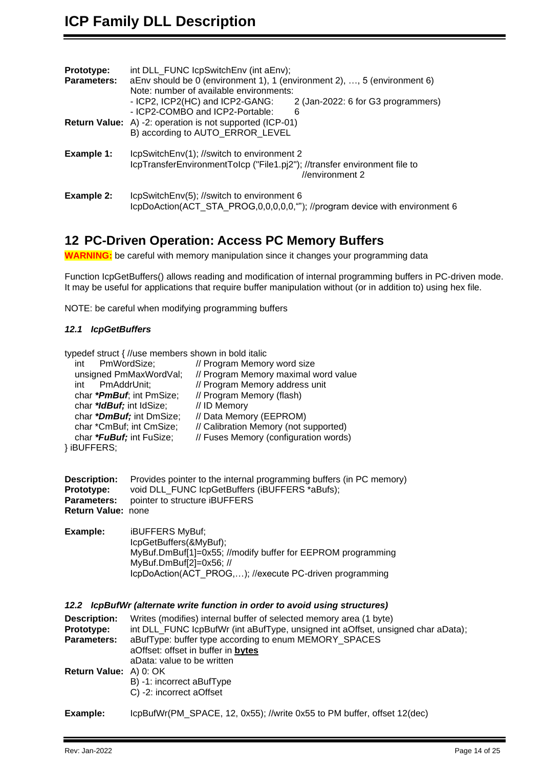| int DLL_FUNC IcpSwitchEnv (int aEnv);                                       |
|-----------------------------------------------------------------------------|
| aEnv should be 0 (environment 1), 1 (environment 2), , 5 (environment 6)    |
| Note: number of available environments:                                     |
| - ICP2, ICP2(HC) and ICP2-GANG:<br>2 (Jan-2022: 6 for G3 programmers)       |
| - ICP2-COMBO and ICP2-Portable:<br>6                                        |
| <b>Return Value:</b> A) -2: operation is not supported (ICP-01)             |
| B) according to AUTO_ERROR_LEVEL                                            |
| IcpSwitchEnv(1); //switch to environment 2                                  |
| IcpTransferEnvironmentToIcp ("File1.pj2"); //transfer environment file to   |
| //environment $2$                                                           |
| IcpSwitchEnv(5); //switch to environment 6                                  |
| IcpDoAction(ACT_STA_PROG,0,0,0,0,0,""); //program device with environment 6 |
|                                                                             |

## <span id="page-13-0"></span>**12 PC-Driven Operation: Access PC Memory Buffers**

**WARNING:** be careful with memory manipulation since it changes your programming data

Function IcpGetBuffers() allows reading and modification of internal programming buffers in PC-driven mode. It may be useful for applications that require buffer manipulation without (or in addition to) using hex file.

NOTE: be careful when modifying programming buffers

#### <span id="page-13-1"></span>*12.1 IcpGetBuffers*

typedef struct { //use members shown in bold italic

| int PmWordSize;          | // Program Memory word size           |
|--------------------------|---------------------------------------|
| unsigned PmMaxWordVal;   | // Program Memory maximal word value  |
| int PmAddrUnit;          | // Program Memory address unit        |
| char *PmBuf; int PmSize; | // Program Memory (flash)             |
| char *IdBuf; int IdSize; | // ID Memory                          |
| char *DmBuf; int DmSize; | // Data Memory (EEPROM)               |
| char *CmBuf; int CmSize; | // Calibration Memory (not supported) |
| char *FuBuf; int FuSize; | // Fuses Memory (configuration words) |
| , 'DLIFFFDA              |                                       |

} iBUFFERS;

|                           | <b>Description:</b> Provides pointer to the internal programming buffers (in PC memory) |
|---------------------------|-----------------------------------------------------------------------------------------|
| <b>Prototype:</b>         | void DLL FUNC IcpGetBuffers (iBUFFERS *aBufs);                                          |
|                           | <b>Parameters:</b> pointer to structure iBUFFERS                                        |
| <b>Return Value: none</b> |                                                                                         |

**Example:** iBUFFERS MyBuf; IcpGetBuffers(&MyBuf); MyBuf.DmBuf[1]=0x55; //modify buffer for EEPROM programming MyBuf.DmBuf[2]=0x56; // IcpDoAction(ACT\_PROG,…); //execute PC-driven programming

### <span id="page-13-2"></span>*12.2 IcpBufWr (alternate write function in order to avoid using structures)*

| <b>Description:</b>           | Writes (modifies) internal buffer of selected memory area (1 byte)               |
|-------------------------------|----------------------------------------------------------------------------------|
| Prototype:                    | int DLL_FUNC lcpBufWr (int aBufType, unsigned int aOffset, unsigned char aData); |
| <b>Parameters:</b>            | aBufType: buffer type according to enum MEMORY SPACES                            |
|                               | aOffset: offset in buffer in bytes                                               |
|                               | aData: value to be written                                                       |
| <b>Return Value:</b> A) 0: OK |                                                                                  |
|                               | B) -1: incorrect aBufType                                                        |
|                               | C) -2: incorrect aOffset                                                         |
| Example:                      | IcpBufWr(PM SPACE, 12, 0x55); //write 0x55 to PM buffer, offset 12(dec)          |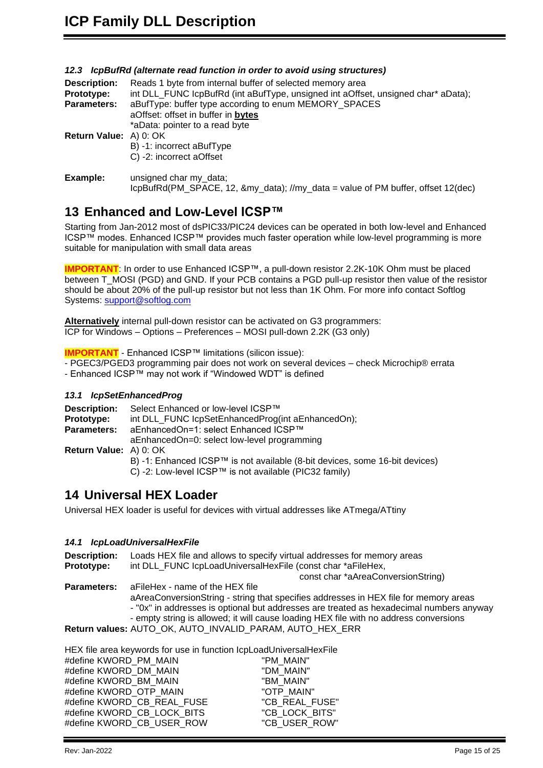#### <span id="page-14-0"></span>*12.3 IcpBufRd (alternate read function in order to avoid using structures)*

| <b>Description:</b><br><b>Prototype:</b> | Reads 1 byte from internal buffer of selected memory area<br>int DLL_FUNC lcpBufRd (int aBufType, unsigned int aOffset, unsigned char* aData); |
|------------------------------------------|------------------------------------------------------------------------------------------------------------------------------------------------|
| <b>Parameters:</b>                       | aBufType: buffer type according to enum MEMORY SPACES<br>aOffset: offset in buffer in bytes                                                    |
|                                          | *aData: pointer to a read byte                                                                                                                 |
| <b>Return Value:</b> A) 0: OK            | B) -1: incorrect aBufType<br>C) -2: incorrect aOffset                                                                                          |
| Example:                                 | unsigned char my_data;<br>IcpBufRd(PM SPACE, 12, &my data); //my data = value of PM buffer, offset 12(dec)                                     |

# <span id="page-14-1"></span>**13 Enhanced and Low-Level ICSP™**

Starting from Jan-2012 most of dsPIC33/PIC24 devices can be operated in both low-level and Enhanced ICSP™ modes. Enhanced ICSP™ provides much faster operation while low-level programming is more suitable for manipulation with small data areas

**IMPORTANT**: In order to use Enhanced ICSP™, a pull-down resistor 2.2K-10K Ohm must be placed between T\_MOSI (PGD) and GND. If your PCB contains a PGD pull-up resistor then value of the resistor should be about 20% of the pull-up resistor but not less than 1K Ohm. For more info contact Softlog Systems: [support@softlog.com](mailto:support@softlog.com)

**Alternatively** internal pull-down resistor can be activated on G3 programmers: ICP for Windows – Options – Preferences – MOSI pull-down 2.2K (G3 only)

**IMPORTANT** - Enhanced ICSP™ limitations (silicon issue):

- PGEC3/PGED3 programming pair does not work on several devices – check Microchip® errata

<span id="page-14-2"></span>- Enhanced ICSP™ may not work if "Windowed WDT" is defined

#### *13.1 IcpSetEnhancedProg*

**Description:** Select Enhanced or low-level ICSP™ **Prototype:** int DLL\_FUNC IcpSetEnhancedProg(int aEnhancedOn); **Parameters:** aEnhancedOn=1: select Enhanced ICSP™ aEnhancedOn=0: select low-level programming **Return Value:** A) 0: OK B) -1: Enhanced ICSP™ is not available (8-bit devices, some 16-bit devices) C) -2: Low-level ICSP™ is not available (PIC32 family)

### <span id="page-14-3"></span>**14 Universal HEX Loader**

Universal HEX loader is useful for devices with virtual addresses like ATmega/ATtiny

#### <span id="page-14-4"></span>*14.1 IcpLoadUniversalHexFile*

**Description:** Loads HEX file and allows to specify virtual addresses for memory areas **Prototype:** int DLL\_FUNC IcpLoadUniversalHexFile (const char \*aFileHex, const char \*aAreaConversionString) **Parameters:** aFileHex - name of the HEX file aAreaConversionString - string that specifies addresses in HEX file for memory areas - "0x" in addresses is optional but addresses are treated as hexadecimal numbers anyway - empty string is allowed; it will cause loading HEX file with no address conversions **Return values:** AUTO\_OK, AUTO\_INVALID\_PARAM, AUTO\_HEX\_ERR

HEX file area keywords for use in function IcpLoadUniversalHexFile #define KWORD\_PM\_MAIN "PM\_MAIN" #define KWORD\_DM\_MAIN "DM\_MAIN"<br>#define KWORD\_BM\_MAIN "BM\_MAIN" #define KWORD\_BM\_MAIN #define KWORD\_OTP\_MAIN "OTP\_MAIN" #define KWORD\_CB\_REAL\_FUSE "CB\_REAL\_FUSE" #define KWORD\_CB\_LOCK\_BITS "CB\_LOCK\_BITS" #define KWORD\_CB\_USER\_ROW "CB\_USER\_ROW"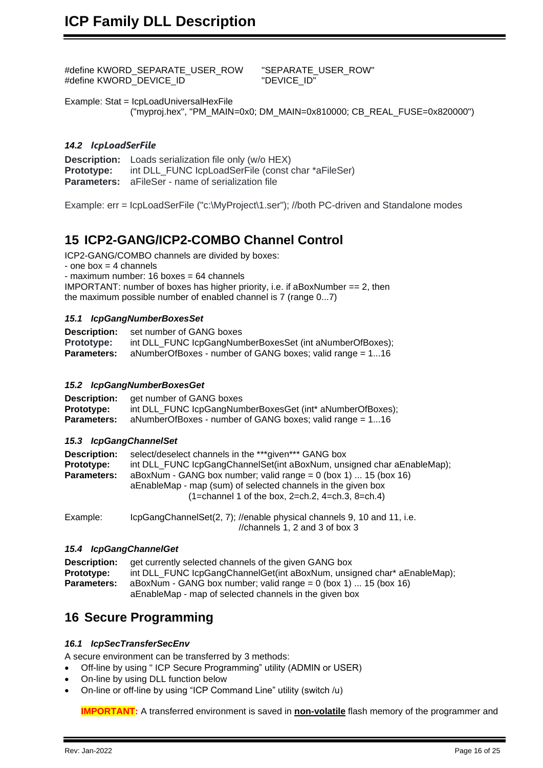#define KWORD\_SEPARATE\_USER\_ROW "SEPARATE\_USER\_ROW" #define KWORD\_DEVICE\_ID

Example: Stat = IcpLoadUniversalHexFile ("myproj.hex", "PM\_MAIN=0x0; DM\_MAIN=0x810000; CB\_REAL\_FUSE=0x820000")

#### <span id="page-15-0"></span>*14.2 IcpLoadSerFile*

**Description:** Loads serialization file only (w/o HEX) **Prototype:** int DLL\_FUNC IcpLoadSerFile (const char \*aFileSer) **Parameters:** aFileSer - name of serialization file

Example: err = IcpLoadSerFile ("c:\MyProject\1.ser"); //both PC-driven and Standalone modes

### <span id="page-15-1"></span>**15 ICP2-GANG/ICP2-COMBO Channel Control**

ICP2-GANG/COMBO channels are divided by boxes:

- one box  $=$  4 channels

- maximum number: 16 boxes = 64 channels

IMPORTANT: number of boxes has higher priority, i.e. if aBoxNumber  $== 2$ , then the maximum possible number of enabled channel is 7 (range 0...7)

#### <span id="page-15-2"></span>*15.1 IcpGangNumberBoxesSet*

**Description:** set number of GANG boxes **Prototype:** int DLL\_FUNC lcpGangNumberBoxesSet (int aNumberOfBoxes);<br>**Parameters:** aNumberOfBoxes - number of GANG boxes; valid range = 1...16 **Parameters:** aNumberOfBoxes - number of GANG boxes; valid range = 1...16

#### <span id="page-15-3"></span>*15.2 IcpGangNumberBoxesGet*

| <b>Description:</b> | get number of GANG boxes                                   |
|---------------------|------------------------------------------------------------|
| Prototype:          | int DLL_FUNC lcpGangNumberBoxesGet (int* aNumberOfBoxes);  |
| <b>Parameters:</b>  | aNumberOfBoxes - number of GANG boxes; valid range $= 116$ |

#### <span id="page-15-4"></span>*15.3 IcpGangChannelSet*

| <b>Description:</b> | select/deselect channels in the ***given*** GANG box                   |
|---------------------|------------------------------------------------------------------------|
| Prototype:          | int DLL FUNC lcpGangChannelSet(int aBoxNum, unsigned char aEnableMap); |
| <b>Parameters:</b>  | aBoxNum - GANG box number; valid range = $0$ (box 1)  15 (box 16)      |
|                     | a Enable Map - map (sum) of selected channels in the given box         |
|                     | $(1=$ channel 1 of the box, 2=ch.2, 4=ch.3, 8=ch.4)                    |
|                     |                                                                        |

Example: IcpGangChannelSet(2, 7); //enable physical channels 9, 10 and 11, i.e. //channels 1, 2 and 3 of box 3

#### <span id="page-15-5"></span>*15.4 IcpGangChannelGet*

**Description:** get currently selected channels of the given GANG box **Prototype:** int DLL\_FUNC IcpGangChannelGet(int aBoxNum, unsigned char\* aEnableMap); **Parameters:** aBoxNum - GANG box number; valid range = 0 (box 1) ... 15 (box 16) aEnableMap - map of selected channels in the given box

### <span id="page-15-6"></span>**16 Secure Programming**

#### <span id="page-15-7"></span>*16.1 IcpSecTransferSecEnv*

A secure environment can be transferred by 3 methods:

- Off-line by using " ICP Secure Programming" utility (ADMIN or USER)
- On-line by using DLL function below
- On-line or off-line by using "ICP Command Line" utility (switch /u)

**IMPORTANT:** A transferred environment is saved in **non-volatile** flash memory of the programmer and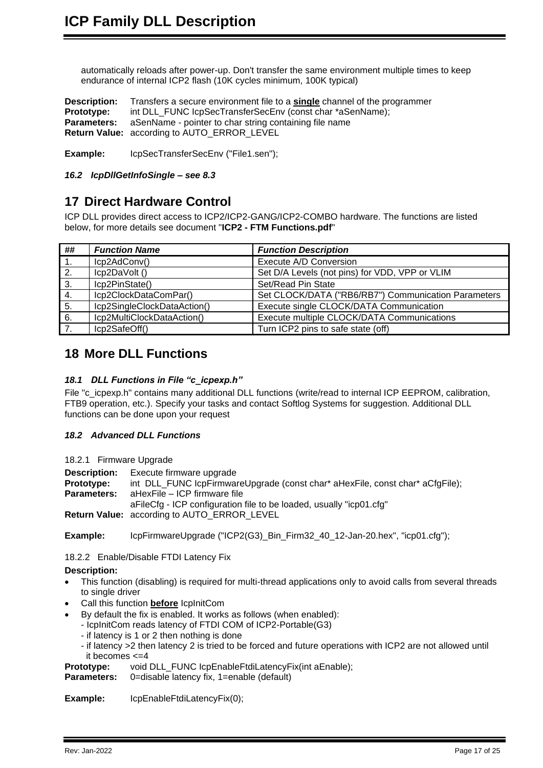automatically reloads after power-up. Don't transfer the same environment multiple times to keep endurance of internal ICP2 flash (10K cycles minimum, 100K typical)

**Description:** Transfers a secure environment file to a **single** channel of the programmer **Prototype:** int DLL\_FUNC IcpSecTransferSecEnv (const char \*aSenName); **Parameters:** aSenName - pointer to char string containing file name **Return Value:** according to AUTO\_ERROR\_LEVEL

**Example:** IcpSecTransferSecEnv ("File1.sen");

<span id="page-16-0"></span>*16.2 IcpDllGetInfoSingle – see [8.3](#page-9-3)*

## <span id="page-16-1"></span>**17 Direct Hardware Control**

ICP DLL provides direct access to ICP2/ICP2-GANG/ICP2-COMBO hardware. The functions are listed below, for more details see document "**ICP2 - FTM Functions.pdf**"

| ##               | <b>Function Name</b>        | <b>Function Description</b>                         |
|------------------|-----------------------------|-----------------------------------------------------|
| $\overline{1}$ . | Icp2AdConv()                | Execute A/D Conversion                              |
| 2.               | Icp2DaVolt ()               | Set D/A Levels (not pins) for VDD, VPP or VLIM      |
| 3.               | Icp2PinState()              | Set/Read Pin State                                  |
| 4.               | Icp2ClockDataComPar()       | Set CLOCK/DATA ("RB6/RB7") Communication Parameters |
| 5.               | Icp2SingleClockDataAction() | Execute single CLOCK/DATA Communication             |
| 6.               | Icp2MultiClockDataAction()  | Execute multiple CLOCK/DATA Communications          |
|                  | Icp2SafeOff()               | Turn ICP2 pins to safe state (off)                  |

## <span id="page-16-2"></span>**18 More DLL Functions**

#### <span id="page-16-3"></span>*18.1 DLL Functions in File "c\_icpexp.h"*

File "c\_icpexp.h" contains many additional DLL functions (write/read to internal ICP EEPROM, calibration, FTB9 operation, etc.). Specify your tasks and contact Softlog Systems for suggestion. Additional DLL functions can be done upon your request

### <span id="page-16-4"></span>*18.2 Advanced DLL Functions*

<span id="page-16-5"></span>18.2.1 Firmware Upgrade

**Description:** Execute firmware upgrade<br>**Prototype:** int DLL FUNC lcpFirmwar int DLL\_FUNC IcpFirmwareUpgrade (const char<sup>\*</sup> aHexFile, const char<sup>\*</sup> aCfgFile);

**Parameters:** aHexFile – ICP firmware file

aFileCfg - ICP configuration file to be loaded, usually "icp01.cfg"

**Return Value:** according to AUTO\_ERROR\_LEVEL

**Example:** IcpFirmwareUpgrade ("ICP2(G3) Bin Firm32 40 12-Jan-20.hex", "icp01.cfg");

<span id="page-16-6"></span>18.2.2 Enable/Disable FTDI Latency Fix

### **Description:**

- This function (disabling) is required for multi-thread applications only to avoid calls from several threads to single driver
- Call this function **before** IcpInitCom
- By default the fix is enabled. It works as follows (when enabled):
- IcpInitCom reads latency of FTDI COM of ICP2-Portable(G3)
	- if latency is 1 or 2 then nothing is done
	- if latency >2 then latency 2 is tried to be forced and future operations with ICP2 are not allowed until it becomes <=4
- **Prototype:** void DLL\_FUNC IcpEnableFtdiLatencyFix(int aEnable);

**Parameters:** 0=disable latency fix, 1=enable (default)

**Example:** IcpEnableFtdiLatencyFix(0);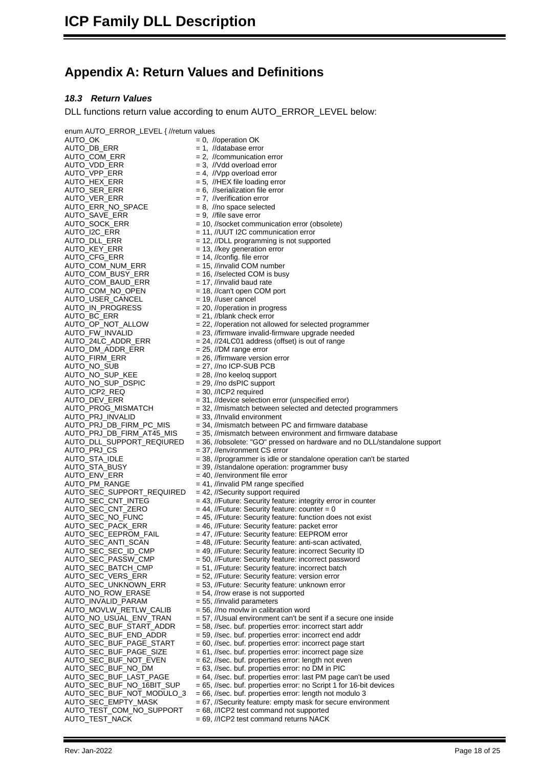# <span id="page-17-0"></span>**Appendix A: Return Values and Definitions**

#### <span id="page-17-1"></span>*18.3 Return Values*

DLL functions return value according to enum AUTO\_ERROR\_LEVEL below:

enum AUTO\_ERROR\_LEVEL { //return values<br>AUTO\_OK = 0, // AUTO\_OK = 0, //operation OK<br>AUTO\_DB\_ERR = 1, //database erro AUTO\_DB\_ERR = 1, //database error<br>AUTO\_COM\_ERR = 2. //communication  $AUTO\_ERR_NO_SPACE$  = 8, //no space sele<br>AUTO\_SAVE\_ERR = 9, //file save error AUTO\_SAVE\_ERR<br>AUTO\_SOCK\_ERR AUTO\_COM\_NUM\_ERR<br>AUTO\_COM\_BUSY\_ERR AUTO\_COM\_BAUD\_ERR<br>AUTO\_COM\_NO\_OPEN AUTO\_USER\_CANCEL<br>AUTO\_IN\_PROGRESS AUTO\_DM\_ADDR\_ERR<br>AUTO\_FIRM\_ERR AUTO\_NO\_SUP\_DSPIC<br>AUTO\_ICP2\_REQ AUTO\_ICP2\_REQ = 30, //ICP2 required<br>AUTO\_DEV\_ERR = 31, //device selection AUTO\_PRJ\_INVALID<br>AUTO\_PRJ\_DB\_FIRM\_PC\_MIS AUTO\_SEC\_SUPPORT\_REQUIRED<br>AUTO\_SEC\_CNT\_INTEG<br>AUTO\_SEC\_CNT\_ZERO<br>AUTO\_SEC\_NO\_FUNC<br>AUTO\_SEC\_PACK\_ERR<br>AUTO\_SEC\_FEPPOM\_FAIL AUTO\_MOVLW\_RETLW\_CALIB<br>AUTO\_NO\_USUAL\_ENV\_TRAN AUTO\_TEST\_COM\_NO\_SUPPORT = 68, //ICP2 test command not supported AUTO\_TEST\_NACK = 69, //ICP2 test command returns NACK

AUTO\_COM\_ERR = 2, //communication error<br>AUTO\_VDD\_ERR = 3, //Vdd overload error  $AUTO_VDD_ERR$  = 3, //Vdd overload error<br>AUTO\_VPP\_ERR = 4, //Vpp overload error AUTO\_VPP\_ERR = 4, //Vpp overload error<br>AUTO\_HEX\_ERR = 5, //HEX file loading er AUTO\_HEX\_ERR = 5, //HEX file loading error<br>AUTO\_SER\_ERR = 6, //serialization file error<br>AUTO\_VER\_ERR = 7, //verification error  $= 6$ , //serialization file error  $= 7$ , //verification error<br> $= 8$ , //no space selected = 10, //socket communication error (obsolete) AUTO\_I2C\_ERR = 11, //UUT I2C communication error<br>AUTO\_DLL\_ERR = 12, //DLL programming is not suppo AUTO\_DLL\_ERR = 12, //DLL programming is not supported<br>AUTO\_KEY\_ERR = 13, //key generation error AUTO\_KEY\_ERR = 13, //key generation error<br>AUTO\_CFG\_ERR = 14, //config. file error  $= 14$ , //config. file error<br> $= 15$ , //invalid COM number  $= 16$ , //selected COM is busy<br> $= 17$ , //invalid baud rate  $= 18$ , //can't open COM port<br> $= 19$ , //user cancel AUTO\_IN\_PROGRESS = 20, //operation in progress<br>AUTO\_BC\_ERR = 21, //blank check error AUTO\_BC\_ERR = 21, //blank check error<br>AUTO\_OP\_NOT\_ALLOW = 22, //operation not allo  $AUTO\_OP\_NOT\_ALLOW$  = 22, //operation not allowed for selected programmer<br>AUTO\_FW\_INVALID = 23, //firmware invalid-firmware upgrade needed AUTO\_FW\_INVALID = 23, //firmware invalid-firmware upgrade needed<br>AUTO\_24LC\_ADDR\_ERR = 24, //24LC01 address (offset) is out of range = 24,  $//24LC01$  address (offset) is out of range<br>= 25,  $//DM$  range error AUTO\_FIRM\_ERR = 26, //firmware version error<br>AUTO\_NO\_SUB = 27, //no ICP-SUB PCB AUTO\_NO\_SUB = 27, //no ICP-SUB PCB<br>AUTO\_NO\_SUP\_KEE = 28, //no keeloq support  $= 28$ , //no keeloq support<br> $= 29$ , //no dsPIC support AUTO\_DEV\_ERR = 31, //device selection error (unspecified error)<br>AUTO\_PROG\_MISMATCH = 32, //mismatch between selected and detecte  $=$  32, //mismatch between selected and detected programmers<br> $=$  33, //lnvalid environment AUTO\_PRJ\_DB\_FIRM\_PC\_MIS = 34, //mismatch between PC and firmware database<br>AUTO\_PRJ\_DB\_FIRM\_AT45\_MIS = 35, //mismatch between environment and firmware AUTO\_PRJ\_DB\_FIRM\_AT45\_MIS = 35, //mismatch between environment and firmware database<br>AUTO\_DLL\_SUPPORT\_REQIURED = 36, //obsolete: "GO" pressed on hardware and no DLL/stand AUTO\_DLL\_SUPPORT\_REQIURED = 36, //obsolete: "GO" pressed on hardware and no DLL/standalone support AUTO\_PRJ\_CS<br>AUTO\_STA\_IDLE = 37, //environment CS error<br>= 38, //programmer is idle or AUTO\_STA\_IDLE = 38, //programmer is idle or standalone operation can't be started<br>AUTO\_STA\_BUSY = 39, //standalone operation: programmer busy AUTO\_STA\_BUSY = 39, //standalone operation: programmer busy<br>AUTO\_ENV\_ERR = 40, //environment file error AUTO\_ENV\_ERR = 40, //environment file error<br>AUTO\_PM\_RANGE = 41, //invalid PM range spee  $= 41$ , //invalid PM range specified<br> $= 42$ , //Security support required = 43, //Future: Security feature: integrity error in counter  $= 44$ , //Future: Security feature: counter = 0  $= 45$ , //Future: Security feature: function does not exist AUTO\_SEC\_PACK\_ERR = 46, //Future: Security feature: packet error<br>AUTO\_SEC\_EEPROM\_FAIL = 47, //Future: Security feature: EEPROM er<br>AUTO\_SEC\_ANTI\_SCAN = 48, //Future: Security feature: anti-scan ac<br>AUTO\_SEC\_SEC\_ID\_CMP = 49, = 47, //Future: Security feature: EEPROM error  $= 48$ , //Future: Security feature: anti-scan activated, AUTO\_SEC\_SEC\_ID\_CMP = 49, //Future: Security feature: incorrect Security ID<br>AUTO\_SEC\_PASSW\_CMP = 50, //Future: Security feature: incorrect password<br>AUTO\_SEC\_BATCH\_CMP = 51, //Future: Security feature: incorrect batch<br>AUTO\_ = 50, //Future: Security feature: incorrect password = 51, //Future: Security feature: incorrect batch AUTO\_SEC\_VERS\_ERR = 52, //Future: Security feature: version error<br>AUTO\_SEC\_UNKNOWN\_ERR = 53, //Future: Security feature: unknown error AUTO\_SEC\_UNKNOWN\_ERR = 53, //Future: Security feature: unknown error<br>AUTO\_NO\_ROW\_ERASE = 54, //row erase is not supported  $= 54$ , //row erase is not supported<br>= 55, //invalid parameters  $AUTO$ \_INVALID\_PARAM = 55, //invalid parameters<br>AUTO\_MOVLW\_RETLW\_CALIB = 56, //no movlw in calibration word AUTO\_NO\_USUAL\_ENV\_TRAN = 57, //Usual environment can't be sent if a secure one inside<br>AUTO\_SEC\_BUF\_START\_ADDR = 58, //sec. buf. properties error: incorrect start addr<br>AUTO\_SEC\_BUF\_END\_ADDR = 59, //sec. buf. properties erro = 58, //sec. buf. properties error: incorrect start addr AUTO\_SEC\_BUF\_END\_ADDR = 59, //sec. buf. properties error: incorrect end addr<br>AUTO\_SEC\_BUF\_PAGE\_START = 60, //sec. buf. properties error: incorrect page star AUTO\_SEC\_BUF\_PAGE\_START = 60, //sec. buf. properties error: incorrect page start<br>AUTO\_SEC\_BUF\_PAGE\_SIZE = 61, //sec. buf. properties error: incorrect page size<br>AUTO\_SEC\_BUF\_NOT\_EVEN = 62, //sec. buf. properties error: leng = 61, //sec. buf. properties error: incorrect page size = 62, //sec. buf. properties error: length not even AUTO\_SEC\_BUF\_NO\_DM = 63, //sec. buf. properties error: no DM in PIC<br>AUTO\_SEC\_BUF\_LAST\_PAGE = 64, //sec. buf. properties error: last PM page<br>AUTO\_SEC\_BUF\_NO\_16BIT\_SUP = 65, //sec. buf. properties error: no Script 1 for<br>AUTO  $= 64$ , //sec. buf. properties error: last PM page can't be used = 65, //sec. buf. properties error: no Script 1 for 16-bit devices AUTO\_SEC\_BUF\_NOT\_MODULO\_3 = 66, //sec. buf. properties error: length not modulo 3<br>AUTO\_SEC\_EMPTY\_MASK = 67, //Security feature: empty mask for secure enviror = 67, //Security feature: empty mask for secure environment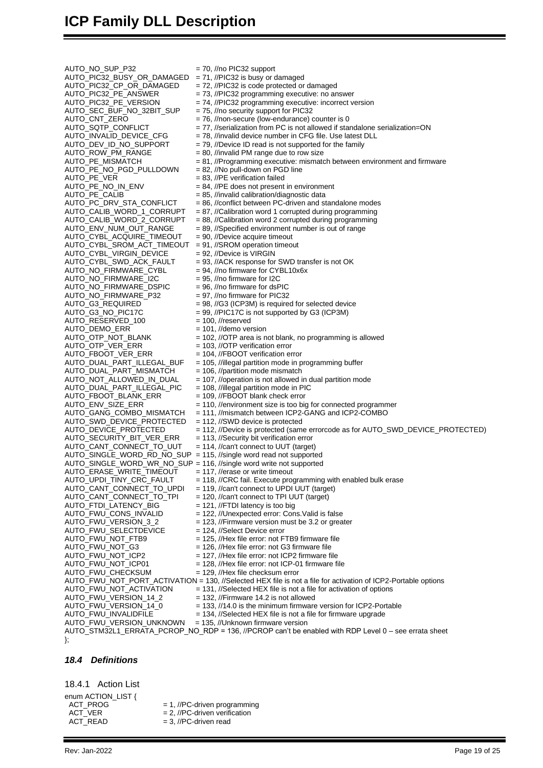# **ICP Family DLL Description**

 $AUTO_NO_SUP_P32$  = 70, //no PIC32 support<br>AUTO\_PIC32\_BUSY\_OR\_DAMAGED = 71, //PIC32 is busy or damaged AUTO\_PIC32\_BUSY\_OR\_DAMAGED<br>AUTO\_PIC32\_CP\_OR\_DAMAGED AUTO\_PE\_CALIB<br>AUTO\_PC\_DRV\_STA\_CONFLICT AUTO\_NO\_FIRMWARE\_P32<br>AUTO\_G3\_REQUIRED AUTO\_DUAL\_PART\_MISMATCH AUTO\_NOT\_ALLOWED\_IN\_DUAL<br>AUTO\_DUAL\_PART\_ILLEGAL\_PIC<br>AUTO\_FBOOT\_BLANK\_ERR AUTO\_FWU\_SELECTDEVICE<br>AUTO\_FWU\_NOT\_FTB9 AUTO\_FWU\_NOT\_ACTIVATION = 131, //Selected HEX file is not a file for activation of options<br>AUTO\_FWU\_VERSION\_14\_2 = 132, //Firmware 14.2 is not allowed AUTO\_FWU\_VERSION\_14\_0 = 133, //14.0 is the minimum firmware version for ICP2-Portable<br>AUTO\_FWU\_INVALIDFILE = 134, //Selected HEX file is not a file for firmware upgrade AUTO\_FWU\_VERSION\_UNKNOWN

AUTO\_PIC32\_CP\_OR\_DAMAGED = 72, //PIC32 is code protected or damaged<br>AUTO\_PIC32\_PE\_ANSWER = 73, //PIC32 programming executive: no are AUTO\_PIC32\_PE\_ANSWER = 73, //PIC32 programming executive: no answer<br>AUTO\_PIC32\_PE\_VERSION = 74, //PIC32 programming executive: incorrect v<br>AUTO\_SEC\_BUF\_NO\_32BIT\_SUP = 75, //no security support for PIC32 = 74, //PIC32 programming executive: incorrect version AUTO\_SEC\_BUF\_NO\_32BIT\_SUP = 75, //no security support for PIC32 AUTO\_CNT\_ZERO = 76, //non-secure (low-endurance) counter is 0<br>AUTO\_SQTP\_CONFLICT = 77, //serialization from PC is not allowed if star  $AUTO_SQTP_CONFLICT$  = 77, //serialization from PC is not allowed if standalone serialization=ON<br> $AUTO_NALID_DEVICE_CFG$  = 78, //invalid device number in CFG file. Use latest DLL AUTO\_INVALID\_DEVICE\_CFG = 78, //invalid device number in CFG file. Use latest DLL<br>AUTO\_DEV\_ID\_NO\_SUPPORT = 79, //Device ID read is not supported for the family AUTO\_DEV\_ID\_NO\_SUPPORT  $= 79$ , //Device ID read is not supported for the family<br>AUTO\_ROW\_PM\_RANGE  $= 80$ , //invalid PM range due to row size AUTO\_ROW\_PM\_RANGE = 80, //invalid PM range due to row size<br>AUTO\_PE\_MISMATCH = 81, //Programming executive: mismate  $= 81$ , //Programming executive: mismatch between environment and firmware  $= 82$ , //No pull-down on PGD line AUTO\_PE\_NO\_PGD\_PULLDOWN = 82, //No pull-down on PGD line AUTO\_PE\_VER = 83, //PE verification failed  $AUTO_PE_NO_1N_ENV$  = 84, //PE does not present in environment<br>AUTO\_PE\_CALIB = 85, //invalid calibration/diagnostic data AUTO\_PC\_DRV\_STA\_CONFLICT = 86, //conflict between PC-driven and standalone modes<br>AUTO\_CALIB\_WORD\_1\_CORRUPT = 87, //Calibration word 1 corrupted during programming AUTO\_CALIB\_WORD\_1\_CORRUPT = 87, //Calibration word 1 corrupted during programming<br>AUTO\_CALIB\_WORD\_2\_CORRUPT = 88, //Calibration word 2 corrupted during programming AUTO\_CALIB\_WORD\_2\_CORRUPT = 88, //Calibration word 2 corrupted during programming<br>AUTO\_ENV\_NUM\_OUT\_RANGE = 89, //Specified environment number is out of range  $= 89$ , //Specified environment number is out of range  $= 90$ , //Device acquire timeout AUTO\_CYBL\_ACQUIRE\_TIMEOUT = 90, //Device acquire timeout AUTO\_CYBL\_SROM\_ACT\_TIMEOUT = 91, //SROM operation timeout AUTO\_CYBL\_VIRGIN\_DEVICE = 92, //Device is VIRGIN<br>AUTO\_CYBL\_SWD\_ACK\_FAULT = 93, //ACK response for = 93, //ACK response for SWD transfer is not OK  $AUTO_NO_FIRMWARE_CYBL$  = 94, //no firmware for CYBL10x6x<br>AUTO NO FIRMWARE 12C = 95, //no firmware for 12C  $AUTO_NO_FIRMWARE_12C$  = 95, //no firmware for I2C<br> $AUTO_NO_FIRMWARE_DSPIC$  = 96. //no firmware for dsPIC  $\overline{A}$ UTO\_NO\_FIRMWARE\_DSPIC = 96, //no firmware for dsPIC<br>AUTO\_NO\_FIRMWARE\_P32 = 97. //no firmware for PIC32  $= 98$ , //G3 (ICP3M) is required for selected device AUTO\_G3\_NO\_PIC17C = 99, //PIC17C is not supported by G3 (ICP3M)  $AUTO<sub>–</sub>RESERVED<sub>–</sub>100$  = 100, //reserved AUTO\_DEMO\_ERR = 101, //demo version<br>AUTO\_OTP\_NOT\_BLANK = 102, //OTP area is n AUTO\_OTP\_NOT\_BLANK  $= 102$ , //OTP area is not blank, no programming is allowed<br>AUTO\_OTP\_VER\_ERR  $= 103$ , //OTP verification error AUTO\_OTP\_VER\_ERR = 103, //OTP verification error<br>AUTO\_FBOOT\_VER\_ERR = 104, //FBOOT verification er AUTO\_FBOOT\_VER\_ERR = 104, //FBOOT verification error<br>AUTO\_DUAL\_PART\_ILLEGAL\_BUF = 105, //illegal partition mode in p = 105, //illegal partition mode in programming buffer = 106, //partition mode mismatch = 107, //operation is not allowed in dual partition mode<br>= 108, //illegal partition mode in PIC AUTO\_FBOOT\_BLANK\_ERR = 109, //FBOOT blank check error<br>AUTO\_ENV\_SIZE\_ERR = 110, //environment size is too bi AUTO\_ENV\_SIZE\_ERR = 110, //environment size is too big for connected programmer<br>AUTO\_GANG\_COMBO\_MISMATCH = 111, //mismatch between ICP2-GANG and ICP2-COMBO = 111, //mismatch between ICP2-GANG and ICP2-COMBO AUTO\_SWD\_DEVICE\_PROTECTED = 112, //SWD device is protected<br>AUTO\_DEVICE\_PROTECTED = 112, //Device is protected (sam = 112, //Device is protected (same errorcode as for AUTO\_SWD\_DEVICE\_PROTECTED) AUTO\_SECURITY\_BIT\_VER\_ERR = 113, //Security bit verification error<br>AUTO\_CANT\_CONNECT\_TO\_UUT = 114, //can't connect to UUT (target  $= 114$ , //can't connect to UUT (target) AUTO\_SINGLE\_WORD\_RD\_NO\_SUP = 115, //single word read not supported AUTO\_SINGLE\_WORD\_WR\_NO\_SUP = 116, //single word write not supported AUTO\_ERASE\_WRITE\_TIMEOUT = 117, //erase or write timeout<br>AUTO\_UPDI\_TINY\_CRC\_FAULT = 118, //CRC fail. Execute pro AUTO\_UPDI\_TINY\_CRC\_FAULT = 118, //CRC fail. Execute programming with enabled bulk erase<br>AUTO\_CANT\_CONNECT\_TO\_UPDI = 119, //can't connect to UPDI UUT (target) AUTO\_CANT\_CONNECT\_TO\_UPDI = 119, //can't connect to UPDI UUT (target)<br>AUTO\_CANT\_CONNECT\_TO\_TPI = 120, //can't connect to TPI UUT (target) AUTO\_CANT\_CONNECT\_TO\_TPI = 120, //can't connect to TPI UUT (target)<br>AUTO\_FTDI\_LATENCY\_BIG = 121, //FTDI latency is too big AUTO\_FTDI\_LATENCY\_BIG = 121, //FTDI latency is too big<br>AUTO\_FWU\_CONS\_INVALID = 122, //Unexpected error: Con AUTO\_FWU\_CONS\_INVALID = 122, //Unexpected error: Cons.Valid is false<br>AUTO\_FWU\_VERSION\_3\_2 = 123, //Firmware version must be 3.2 or grea = 123, //Firmware version must be 3.2 or greater<br>= 124, //Select Device error AUTO\_FWU\_NOT\_FTB9 = 125, //Hex file error: not FTB9 firmware file<br>AUTO\_FWU\_NOT\_G3 = 126, //Hex file error: not G3 firmware file AUTO\_FWU\_NOT\_G3 = 126, //Hex file error: not G3 firmware file<br>AUTO\_FWU\_NOT\_ICP2 = 127, //Hex file error: not ICP2 firmware f AUTO\_FWU\_NOT\_ICP2 = 127, //Hex file error: not ICP2 firmware file<br>AUTO\_FWU\_NOT\_ICP01 = 128, //Hex file error: not ICP-01 firmware file  $= 128$ , //Hex file error: not ICP-01 firmware file AUTO\_FWU\_CHECKSUM = 129, //Hex file checksum error AUTO\_FWU\_NOT\_PORT\_ACTIVATION = 130, //Selected HEX file is not a file for activation of ICP2-Portable options

- $= 132$ , //Firmware 14.2 is not allowed
- 
- 
- = 134, //Selected HEX file is not a file for firmware upgrade<br>= 135, //Unknown firmware version
- 

AUTO\_STM32L1\_ERRATA\_PCROP\_NO\_RDP = 136, //PCROP can't be enabled with RDP Level 0 – see errata sheet };

#### <span id="page-18-0"></span>*18.4 Definitions*

<span id="page-18-1"></span>18.4.1 Action List

- enum ACTION\_LIST {<br>ACT\_PROG  $ACT_VER$  = 2, //PC-driven verification  $ACT$ <sub>\_READ</sub> = 3, //PC-driven read
	- $= 1$ , //PC-driven programming
	-
	-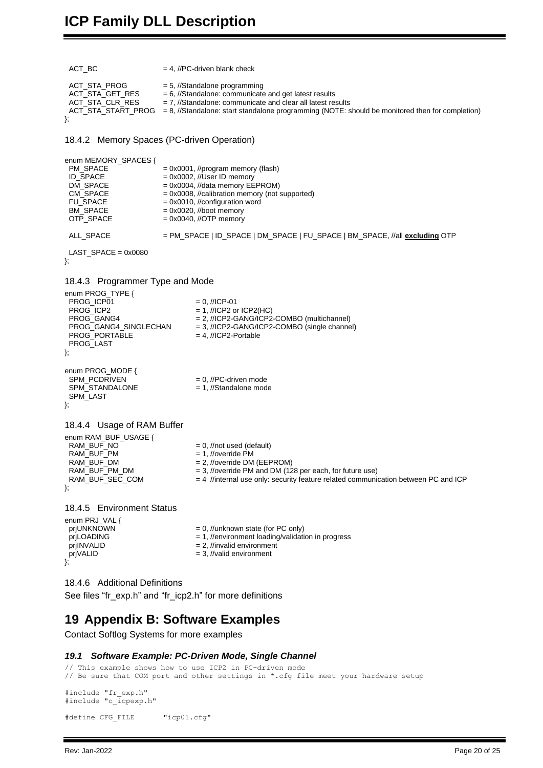```
ACT\_BC = 4, //PC-driven blank check
 ACT_STA_PROG = 5, //Standalone programming<br>ACT_STA_GET_RES = 6, //Standalone: communicate
 ACT\_STA\_GET\_RES = 6, //Standalone: communicate and get latest results ACT\_STA\_CLR\_RES = 7, //Standalone: communicate and clear all latest res
                                 = 7, //Standalone: communicate and clear all latest results
  ACT_STA_START_PROG = 8, //Standalone: start standalone programming (NOTE: should be monitored then for completion)
};
18.4.2 Memory Spaces (PC-driven Operation)
enum MEMORY_SPACES {<br>PM SPACE
 PM\_SPACE = 0x0001, //program memory (flash)<br>ID SPACE = 0x0002, //User ID memory
 ID\_SPACE<br>DM\_SPACE = 0x0002, //User ID memory EE
 DM_SPACE = 0x0004, //data memory EEPROM)<br>CM_SPACE = 0x0008, //calibration memory (not
 CM\_SPACE = 0x0008, //calibration memory (not supported)<br>FU SPACE = 0x0010, //configuration word
 FU_SPACE = 0x0010, //configuration word<br>BM_SPACE = 0x0020, //boot memory
 BM\_SPACE = 0x0020, //boot memory<br>OTP_SPACE = 0x0040, //OTP memory
                                 = 0x0040, //OTP memory
  ALL_SPACE = PM_SPACE | ID_SPACE | DM_SPACE | FU_SPACE | BM_SPACE, //all excluding OTP
  LAST_SPACE = 0x0080
};
18.4.3 Programmer Type and Mode
enum PROG_TYPE {
 PROG_ICP01 = 0, //ICP-01<br>PROG ICP2 = 1, //ICP2 o
 PROG_ICP2 = 1, //ICP2 or ICP2(HC)<br>PROG_GANG4 = 2, //ICP2-GANG/ICP2
 PROG_GANG4 = 2, //ICP2-GANG/ICP2-COMBO (multichannel)<br>PROG_GANG4_SINGLECHAN = 3, //ICP2-GANG/ICP2-COMBO (single channe
                                             = 3, //ICP2-GANG/ICP2-COMBO (single channel)<br>= 4, //ICP2-Portable
 PROG_PORTABLE
  PROG_LAST
};
enum PROG_MODE {<br>SPM PCDRIVEN
                                             = 0. //PC-driven mode
 SPM_STANDALONE = 1, //Standalone mode
  SPM_LAST
};
18.4.4 Usage of RAM Buffer
enum RAM_BUF_USAGE {<br>RAM_BUF_NO
 RAM\_BUF\_NO = 0, //not used (default)<br>RAM\_BUF\_PM = 1, //override PM
 RAM_BUF_PM = 1, //override PM<br>RAM_BUF_DM = 2, //override DM
 RAM_BUF_DM = 2, //override DM (EEPROM)<br>RAM_BUFPMDM = 3, //override PM and DM (12
 RAM_BUF_PM_DM = 3, //override PM and DM (128 per each, for future use)<br>RAM_BUF_SEC_COM = 4 //internal use only: security feature related communi
                                             = 4 //internal use only: security feature related communication between PC and ICP
};
18.4.5 Environment Status
enum PRJ_VAL {<br>prjUNKNOWN
 prjUNKNOWN = 0, //unknown state (for PC only)<br>prjLOADING = 1, //environment loading/validat
 prjLOADING = 1, //environment loading/validation in progress<br>prjINVALID = 2, //invalid environment
 prjINVALID = 2, //invalid environment<br>prjVALID = 3, //valid environment
                                             = 3, //valid environment
};
18.4.6 Additional Definitions
```
<span id="page-19-5"></span><span id="page-19-4"></span><span id="page-19-3"></span><span id="page-19-2"></span>See files "fr\_exp.h" and "fr\_icp2.h" for more definitions

### **19 Appendix B: Software Examples**

<span id="page-19-6"></span>Contact Softlog Systems for more examples

#### *19.1 Software Example: PC-Driven Mode, Single Channel*

```
// This example shows how to use ICP2 in PC-driven mode
// Be sure that COM port and other settings in *.cfg file meet your hardware setup
#include "fr_exp.h"
#include "c_icpexp.h"
```

```
#define CFG_FILE "icp01.cfg"
```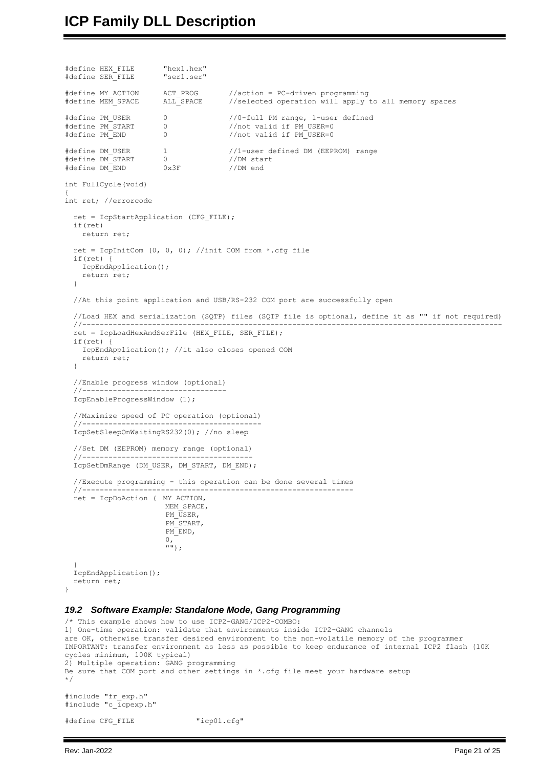```
#define HEX_FILE "hex1.hex"
#define SER FILE
#define MY_ACTION ACT_PROG //action = PC-driven programming
#define MEM_SPACE ALL_SPACE //selected operation will apply to all memory spaces
#define PM_USER 0 0 //0-full PM range, 1-user defined<br>#define PM_START 0 0 //not valid if PM_USER=0
#define PM_START 0 0 //not valid if PM_USER=0<br>#define PM_END 0 0 //not valid if PM_USER=0
                                      //not valid if PM_USER=0
#define DM_USER 1 //1-user defined DM (EEPROM) range
#define DM START
#define DM_END 0x3F //DM end
int FullCycle(void)
{
int ret; //errorcode
   ret = IcpStartApplication (CFG_FILE);
  if(ret)
    return ret;
  ret = IcpInitCom (0, 0, 0); //init COM from *.cfg file
   if(ret) {
    IcpEndApplication();
     return ret;
   }
   //At this point application and USB/RS-232 COM port are successfully open
   //Load HEX and serialization (SQTP) files (SQTP file is optional, define it as "" if not required)
 //------------------------------------------------------------------------------------------------
   ret = IcpLoadHexAndSerFile (HEX_FILE, SER_FILE);
   if(ret) {
     IcpEndApplication(); //it also closes opened COM
     return ret;
   }
   //Enable progress window (optional)
  //--- IcpEnableProgressWindow (1);
   //Maximize speed of PC operation (optional)
   //-----------------------------------------
   IcpSetSleepOnWaitingRS232(0); //no sleep
   //Set DM (EEPROM) memory range (optional)
   //---------------------------------------
   IcpSetDmRange (DM_USER, DM_START, DM_END);
   //Execute programming - this operation can be done several times
   //--------------------------------------------------------------
   ret = IcpDoAction ( MY_ACTION,
                        MEM SPACE,
                        PM USER,
                        PM_START,
                        PM_END,
                        0,
\mathbb{I}^{\mathfrak{m}});
   }
   IcpEndApplication();
   return ret;
}
19.2 Software Example: Standalone Mode, Gang Programming
/* This example shows how to use ICP2-GANG/ICP2-COMBO:
1) One-time operation: validate that environments inside ICP2-GANG channels
are OK, otherwise transfer desired environment to the non-volatile memory of the programmer
IMPORTANT: transfer environment as less as possible to keep endurance of internal ICP2 flash (10K 
cycles minimum, 100K typical)
2) Multiple operation: GANG programming
Be sure that COM port and other settings in *.cfg file meet your hardware setup
```
#include "fr\_exp.h" #include "c\_icpexp.h"

#define CFG\_FILE "icp01.cfg"

<span id="page-20-0"></span>\*/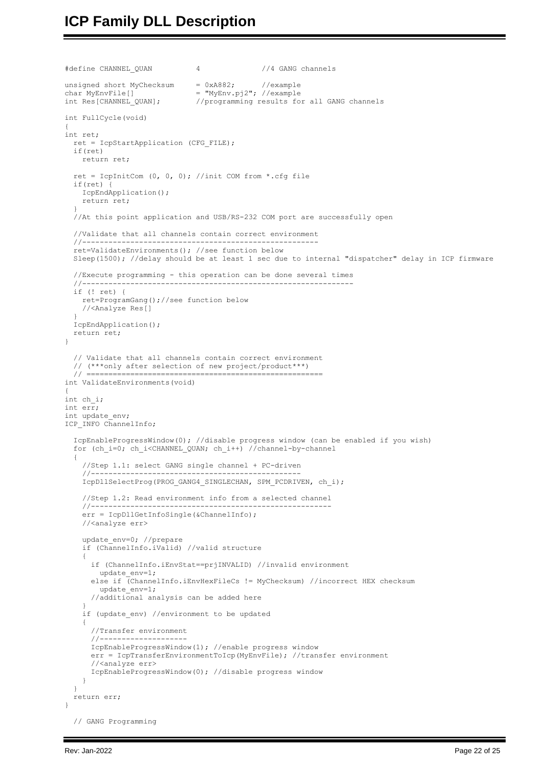# **ICP Family DLL Description**

```
#define CHANNEL_QUAN 4 //4 GANG channels
unsigned short MyChecksum = 0xA882; //example
char MyEnvFile[] = "MyEnv.pj2"; //example
int Res[CHANNEL QUAN]; //programming results for all GANG channels
int FullCycle(void)
{
int ret;
   ret = IcpStartApplication (CFG_FILE);
   if(ret)
    return ret;
  ret = IcpInitCom (0, 0, 0); //init COM from *.cfg file
   if(ret) {
    IcpEndApplication();
     return ret;
  }
   //At this point application and USB/RS-232 COM port are successfully open
   //Validate that all channels contain correct environment
 //------------------------------------------------------
   ret=ValidateEnvironments(); //see function below
   Sleep(1500); //delay should be at least 1 sec due to internal "dispatcher" delay in ICP firmware
   //Execute programming - this operation can be done several times
   //--------------------------------------------------------------
   if (! ret) {
    ret=ProgramGang();//see function below
     //<Analyze Res[]
   }
   IcpEndApplication();
   return ret;
}
   // Validate that all channels contain correct environment
   // (***only after selection of new project/product***)
                                          // ======================================================
int ValidateEnvironments(void)
{
int ch_i;
int err;
int update_env;
ICP_INFO ChannelInfo;
   IcpEnableProgressWindow(0); //disable progress window (can be enabled if you wish)
  for (ch_i=0; ch_i<CHANNEL_QUAN; ch_i++) //channel-by-channel
\left\{\right. //Step 1.1: select GANG single channel + PC-driven
 //------------------------------------------------
     IcpDllSelectProg(PROG_GANG4_SINGLECHAN, SPM_PCDRIVEN, ch_i);
     //Step 1.2: Read environment info from a selected channel
 //-------------------------------------------------------
     err = IcpDllGetInfoSingle(&ChannelInfo);
     //<analyze err>
    update env=0; //prepare
     if (ChannelInfo.iValid) //valid structure
     {
      if (ChannelInfo.iEnvStat==prjINVALID) //invalid environment
         update_env=1;
       else if (ChannelInfo.iEnvHexFileCs != MyChecksum) //incorrect HEX checksum
        update_env=1;
       //additional analysis can be added here
 }
    if (update env) //environment to be updated
     {
       //Transfer environment
      //--------------------
      IcpEnableProgressWindow(1); //enable progress window
      err = IcpTransferEnvironmentToIcp(MyEnvFile); //transfer environment
       //<analyze err>
       IcpEnableProgressWindow(0); //disable progress window
     }
 }
   return err;
}
   // GANG Programming
```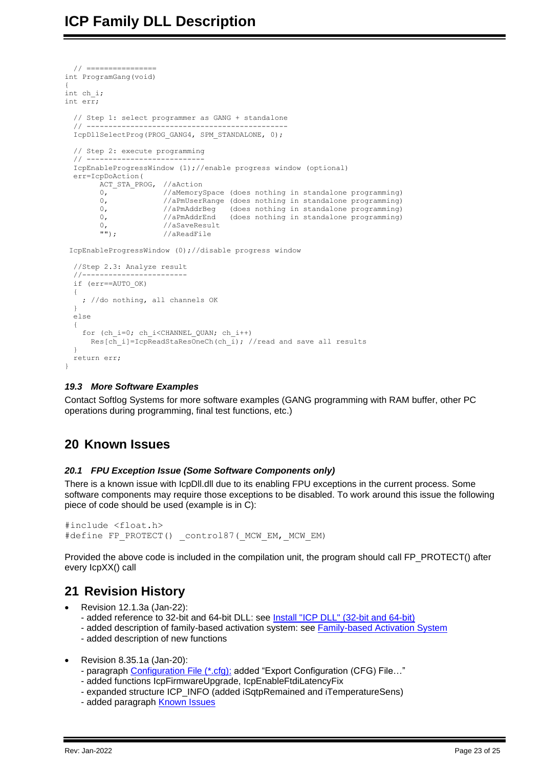```
 // ================
int ProgramGang(void)
{
int ch_i;
int err;
   // Step 1: select programmer as GANG + standalone
   // ----------------------------------------------
   IcpDllSelectProg(PROG_GANG4, SPM_STANDALONE, 0);
   // Step 2: execute programming
  1/1 ----
   IcpEnableProgressWindow (1);//enable progress window (optional)
   err=IcpDoAction(
        ACT STA PROG, //aAction
         0, //aMemorySpace (does nothing in standalone programming)<br>0. //aPmUserRange (does nothing in standalone programming)
                        //aPmUserRange (does nothing in standalone programming)
0, \frac{1}{2} //aPmAddrBeg (does nothing in standalone programming)
0, \frac{1}{2} //aPmAddrEnd (does nothing in standalone programming)
         \begin{array}{lll} 0, & // a SaveResult \\ \texttt{""}, & // a ReadFile \end{array}//aReadFile
 IcpEnableProgressWindow (0);//disable progress window
   //Step 2.3: Analyze result
 //------------------------
   if (err==AUTO_OK)
   {
     ; //do nothing, all channels OK
   }
   else
   {
    for (ch_i=0; ch_i<CHANNEL_QUAN; ch_i++)
      Res[ch i]=IcpReadStaResOneCh(ch i); //read and save all results
\qquad \qquad return err;
}
```
#### <span id="page-22-0"></span>*19.3 More Software Examples*

Contact Softlog Systems for more software examples (GANG programming with RAM buffer, other PC operations during programming, final test functions, etc.)

### <span id="page-22-1"></span>**20 Known Issues**

#### <span id="page-22-2"></span>*20.1 FPU Exception Issue (Some Software Components only)*

There is a known issue with IcpDll.dll due to its enabling FPU exceptions in the current process. Some software components may require those exceptions to be disabled. To work around this issue the following piece of code should be used (example is in C):

```
#include <float.h>
#define FP_PROTECT() control87( MCW EM, MCW EM)
```
Provided the above code is included in the compilation unit, the program should call FP\_PROTECT() after every IcpXX() call

# <span id="page-22-3"></span>**21 Revision History**

- Revision 12.1.3a (Jan-22):
	- added reference to 32-bit and 64-bit DLL: see Install "ICP DLL" (32-bit and 64-bit)
	- added description of family-based activation system: see [Family-based Activation System](#page-3-0)
	- added description of new functions
- Revision 8.35.1a (Jan-20):
	- paragraph [Configuration File \(\\*.cfg\):](#page-3-2) added "Export Configuration (CFG) File…"
	- added functions IcpFirmwareUpgrade, IcpEnableFtdiLatencyFix
	- expanded structure ICP\_INFO (added iSqtpRemained and iTemperatureSens)
	- added paragraph [Known Issues](#page-22-1)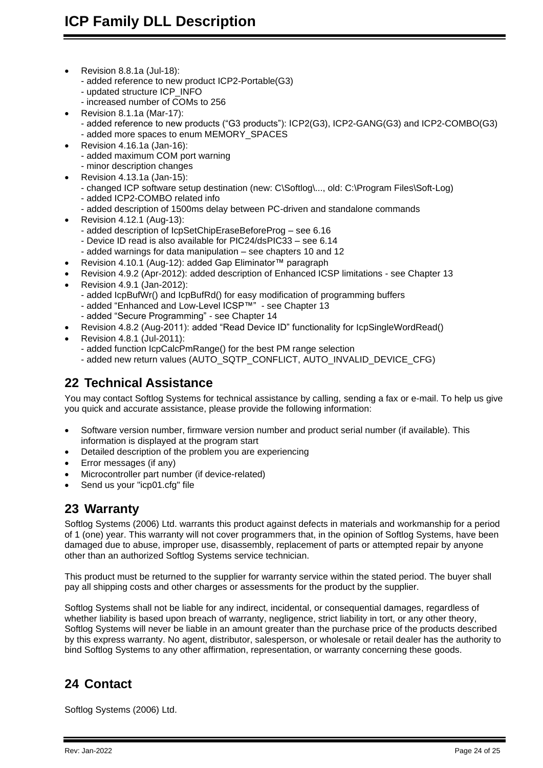- Revision 8.8.1a (Jul-18):
	- added reference to new product ICP2-Portable(G3)
	- updated structure ICP\_INFO
	- increased number of COMs to 256
- Revision 8.1.1a (Mar-17):
	- added reference to new products ("G3 products"): ICP2(G3), ICP2-GANG(G3) and ICP2-COMBO(G3)
	- added more spaces to enum MEMORY\_SPACES
- Revision 4.16.1a (Jan-16):
	- added maximum COM port warning
	- minor description changes
- Revision 4.13.1a (Jan-15):
	- changed ICP software setup destination (new: C\Softlog\..., old: C:\Program Files\Soft-Log)
	- added ICP2-COMBO related info
	- added description of 1500ms delay between PC-driven and standalone commands
- Revision 4.12.1 (Aug-13):
	- added description of IcpSetChipEraseBeforeProg see [6.16](#page-8-1)
	- Device ID read is also available for PIC24/dsPIC33 see [6.14](#page-7-4)
	- added warnings for data manipulation see chapters [10](#page-11-2) and [12](#page-13-0)
- Revision 4.10.1 (Aug-12): added Gap Eliminator™ paragraph
- Revision 4.9.2 (Apr-2012): added description of Enhanced ICSP limitations see Chapter [13](#page-14-1)
- Revision 4.9.1 (Jan-2012):
	- added IcpBufWr() and IcpBufRd() for easy modification of programming buffers
	- added "Enhanced and Low-Level ICSP™" see Chapter [13](#page-14-1)
	- added "Secure Programming" see Chapter [14](#page-14-3)
- Revision 4.8.2 (Aug-2011): added "Read Device ID" functionality for IcpSingleWordRead()
- Revision 4.8.1 (Jul-2011):
	- added function IcpCalcPmRange() for the best PM range selection
	- added new return values (AUTO\_SQTP\_CONFLICT, AUTO\_INVALID\_DEVICE\_CFG)

## <span id="page-23-0"></span>**22 Technical Assistance**

You may contact Softlog Systems for technical assistance by calling, sending a fax or e-mail. To help us give you quick and accurate assistance, please provide the following information:

- Software version number, firmware version number and product serial number (if available). This information is displayed at the program start
- Detailed description of the problem you are experiencing
- Error messages (if any)
- Microcontroller part number (if device-related)
- <span id="page-23-1"></span>Send us your "icp01.cfg" file

### **23 Warranty**

Softlog Systems (2006) Ltd. warrants this product against defects in materials and workmanship for a period of 1 (one) year. This warranty will not cover programmers that, in the opinion of Softlog Systems, have been damaged due to abuse, improper use, disassembly, replacement of parts or attempted repair by anyone other than an authorized Softlog Systems service technician.

This product must be returned to the supplier for warranty service within the stated period. The buyer shall pay all shipping costs and other charges or assessments for the product by the supplier.

Softlog Systems shall not be liable for any indirect, incidental, or consequential damages, regardless of whether liability is based upon breach of warranty, negligence, strict liability in tort, or any other theory, Softlog Systems will never be liable in an amount greater than the purchase price of the products described by this express warranty. No agent, distributor, salesperson, or wholesale or retail dealer has the authority to bind Softlog Systems to any other affirmation, representation, or warranty concerning these goods.

# <span id="page-23-2"></span>**24 Contact**

Softlog Systems (2006) Ltd.